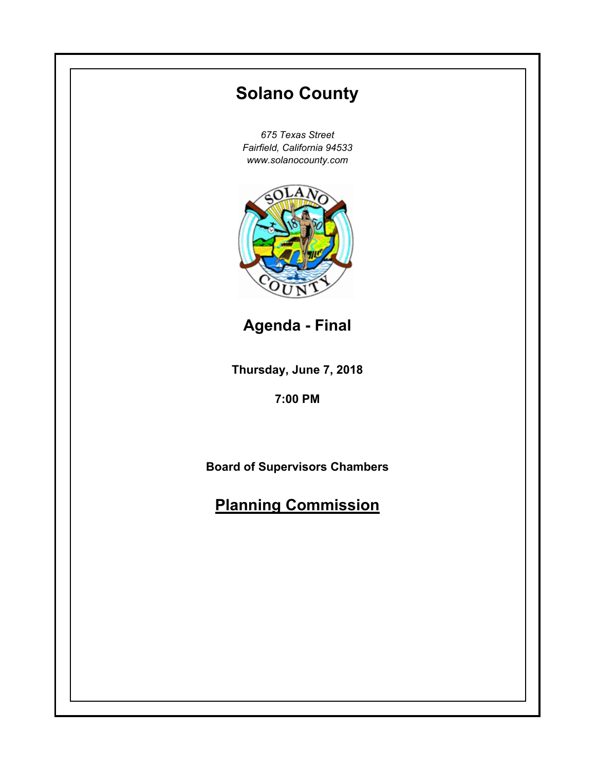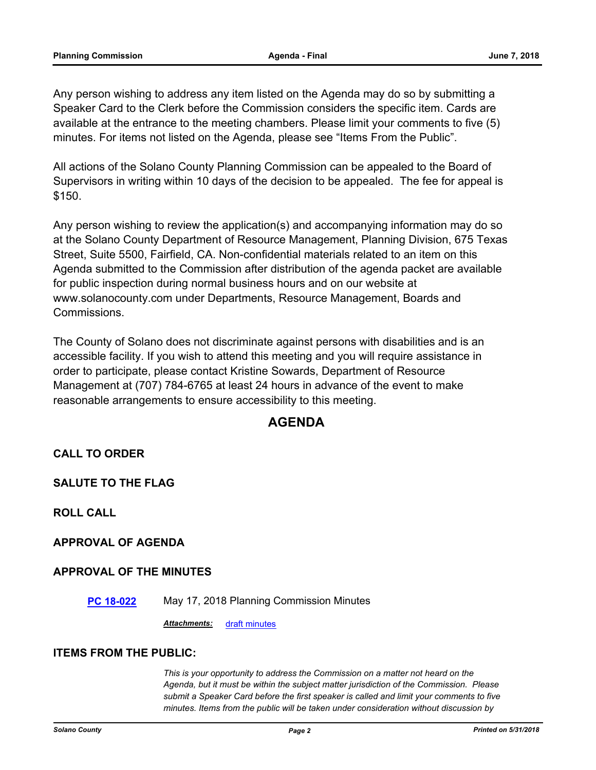Any person wishing to address any item listed on the Agenda may do so by submitting a Speaker Card to the Clerk before the Commission considers the specific item. Cards are available at the entrance to the meeting chambers. Please limit your comments to five (5) minutes. For items not listed on the Agenda, please see "Items From the Public".

All actions of the Solano County Planning Commission can be appealed to the Board of Supervisors in writing within 10 days of the decision to be appealed. The fee for appeal is \$150.

Any person wishing to review the application(s) and accompanying information may do so at the Solano County Department of Resource Management, Planning Division, 675 Texas Street, Suite 5500, Fairfield, CA. Non-confidential materials related to an item on this Agenda submitted to the Commission after distribution of the agenda packet are available for public inspection during normal business hours and on our website at www.solanocounty.com under Departments, Resource Management, Boards and Commissions.

The County of Solano does not discriminate against persons with disabilities and is an accessible facility. If you wish to attend this meeting and you will require assistance in order to participate, please contact Kristine Sowards, Department of Resource Management at (707) 784-6765 at least 24 hours in advance of the event to make reasonable arrangements to ensure accessibility to this meeting.

## **AGENDA**

## **CALL TO ORDER**

**SALUTE TO THE FLAG**

**ROLL CALL**

## **APPROVAL OF AGENDA**

## **APPROVAL OF THE MINUTES**

**[PC 18-022](#page-3-0)** May 17, 2018 Planning Commission Minutes

*Attachments:* [draft minutes](#page-4-0)

#### **ITEMS FROM THE PUBLIC:**

*This is your opportunity to address the Commission on a matter not heard on the Agenda, but it must be within the subject matter jurisdiction of the Commission. Please submit a Speaker Card before the first speaker is called and limit your comments to five minutes. Items from the public will be taken under consideration without discussion by*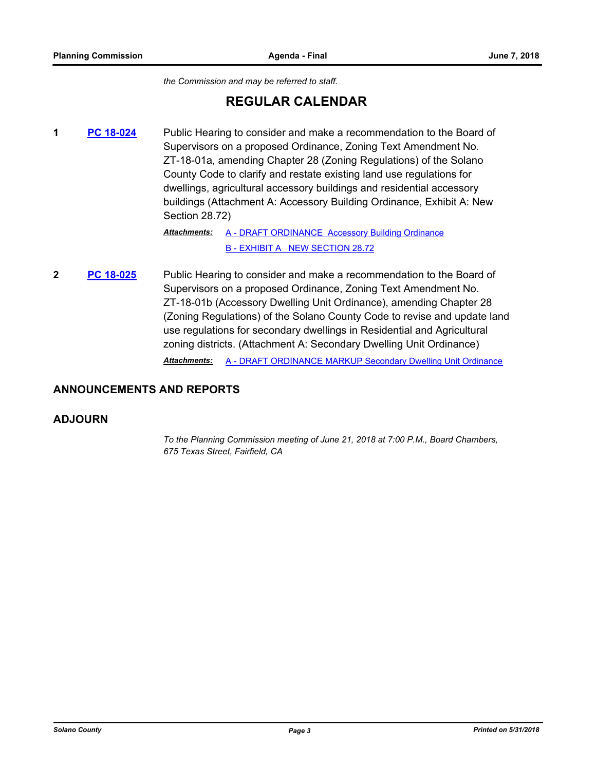*the Commission and may be referred to staff.*

## **REGULAR CALENDAR**

**1 [PC 18-024](#page-11-0)** Public Hearing to consider and make a recommendation to the Board of Supervisors on a proposed Ordinance, Zoning Text Amendment No. ZT-18-01a, amending Chapter 28 (Zoning Regulations) of the Solano County Code to clarify and restate existing land use regulations for dwellings, agricultural accessory buildings and residential accessory buildings (Attachment A: Accessory Building Ordinance, Exhibit A: New Section 28.72)

> [A - DRAFT ORDINANCE Accessory Building Ordinance](#page-16-0) [B - EXHIBIT A NEW SECTION 28.72](#page-20-0) *Attachments:*

**2 [PC 18-025](#page-41-0)** Public Hearing to consider and make a recommendation to the Board of Supervisors on a proposed Ordinance, Zoning Text Amendment No. ZT-18-01b (Accessory Dwelling Unit Ordinance), amending Chapter 28 (Zoning Regulations) of the Solano County Code to revise and update land use regulations for secondary dwellings in Residential and Agricultural zoning districts. (Attachment A: Secondary Dwelling Unit Ordinance)

*Attachments:* [A - DRAFT ORDINANCE MARKUP Secondary Dwelling Unit Ordinance](#page-46-0)

#### **ANNOUNCEMENTS AND REPORTS**

#### **ADJOURN**

*To the Planning Commission meeting of June 21, 2018 at 7:00 P.M., Board Chambers, 675 Texas Street, Fairfield, CA*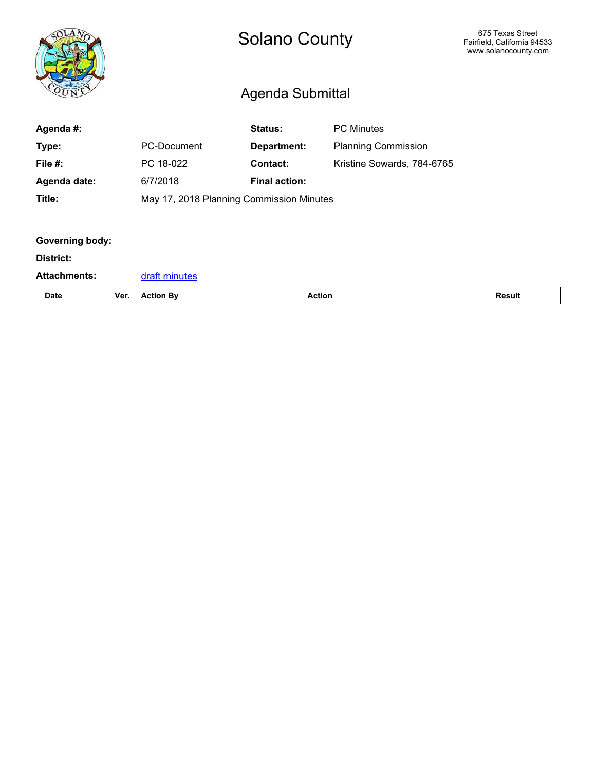<span id="page-3-0"></span>

|                        |      | <b>Solano County</b><br>Agenda Submittal |                      |                            | 675 Texas Street<br>Fairfield, California 94533<br>www.solanocounty.com |
|------------------------|------|------------------------------------------|----------------------|----------------------------|-------------------------------------------------------------------------|
| Agenda #:              |      |                                          | Status:              | <b>PC Minutes</b>          |                                                                         |
| Type:                  |      | <b>PC-Document</b>                       | Department:          | <b>Planning Commission</b> |                                                                         |
| File #:                |      | PC 18-022                                | <b>Contact:</b>      | Kristine Sowards, 784-6765 |                                                                         |
| Agenda date:           |      | 6/7/2018                                 | <b>Final action:</b> |                            |                                                                         |
| Title:                 |      | May 17, 2018 Planning Commission Minutes |                      |                            |                                                                         |
|                        |      |                                          |                      |                            |                                                                         |
| <b>Governing body:</b> |      |                                          |                      |                            |                                                                         |
| District:              |      |                                          |                      |                            |                                                                         |
| <b>Attachments:</b>    |      | draft minutes                            |                      |                            |                                                                         |
| <b>Date</b>            | Ver. | <b>Action By</b>                         |                      | <b>Action</b>              | <b>Result</b>                                                           |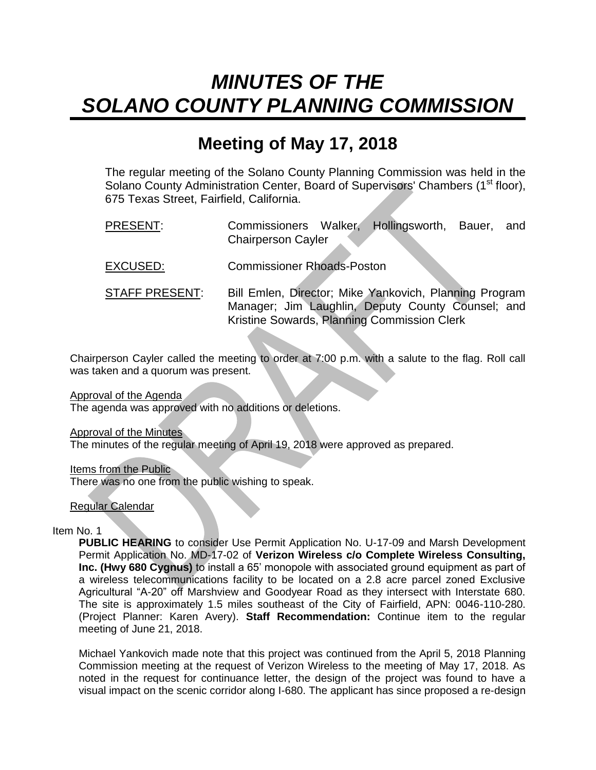# <span id="page-4-0"></span>*MINUTES OF THE SOLANO COUNTY PLANNING COMMISSION*

## **Meeting of May 17, 2018**

The regular meeting of the Solano County Planning Commission was held in the Solano County Administration Center, Board of Supervisors' Chambers (1<sup>st</sup> floor), 675 Texas Street, Fairfield, California.

- PRESENT: Commissioners Walker, Hollingsworth, Bauer, and Chairperson Cayler
- EXCUSED: Commissioner Rhoads-Poston
- STAFF PRESENT: Bill Emlen, Director; Mike Yankovich, Planning Program Manager; Jim Laughlin, Deputy County Counsel; and Kristine Sowards, Planning Commission Clerk

Chairperson Cayler called the meeting to order at 7:00 p.m. with a salute to the flag. Roll call was taken and a quorum was present.

Approval of the Agenda

The agenda was approved with no additions or deletions.

Approval of the Minutes

The minutes of the regular meeting of April 19, 2018 were approved as prepared.

Items from the Public There was no one from the public wishing to speak.

Regular Calendar

Item No. 1

**PUBLIC HEARING** to consider Use Permit Application No. U-17-09 and Marsh Development Permit Application No. MD-17-02 of **Verizon Wireless c/o Complete Wireless Consulting, Inc. (Hwy 680 Cygnus)** to install a 65' monopole with associated ground equipment as part of a wireless telecommunications facility to be located on a 2.8 acre parcel zoned Exclusive Agricultural "A-20" off Marshview and Goodyear Road as they intersect with Interstate 680. The site is approximately 1.5 miles southeast of the City of Fairfield, APN: 0046-110-280. (Project Planner: Karen Avery). **Staff Recommendation:** Continue item to the regular meeting of June 21, 2018.

Michael Yankovich made note that this project was continued from the April 5, 2018 Planning Commission meeting at the request of Verizon Wireless to the meeting of May 17, 2018. As noted in the request for continuance letter, the design of the project was found to have a visual impact on the scenic corridor along I-680. The applicant has since proposed a re-design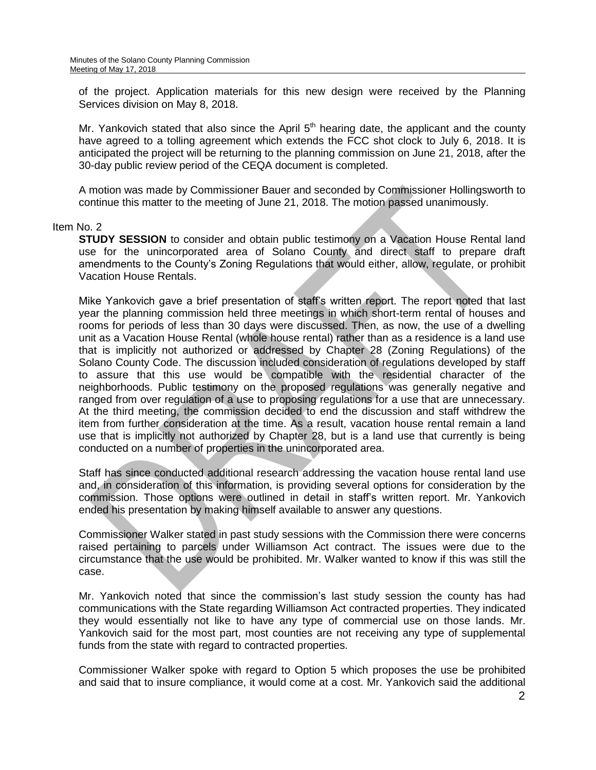of the project. Application materials for this new design were received by the Planning Services division on May 8, 2018.

Mr. Yankovich stated that also since the April  $5<sup>th</sup>$  hearing date, the applicant and the county have agreed to a tolling agreement which extends the FCC shot clock to July 6, 2018. It is anticipated the project will be returning to the planning commission on June 21, 2018, after the 30-day public review period of the CEQA document is completed.

A motion was made by Commissioner Bauer and seconded by Commissioner Hollingsworth to continue this matter to the meeting of June 21, 2018. The motion passed unanimously.

#### Item No. 2

**STUDY SESSION** to consider and obtain public testimony on a Vacation House Rental land use for the unincorporated area of Solano County and direct staff to prepare draft amendments to the County's Zoning Regulations that would either, allow, regulate, or prohibit Vacation House Rentals.

Mike Yankovich gave a brief presentation of staff's written report. The report noted that last year the planning commission held three meetings in which short-term rental of houses and rooms for periods of less than 30 days were discussed. Then, as now, the use of a dwelling unit as a Vacation House Rental (whole house rental) rather than as a residence is a land use that is implicitly not authorized or addressed by Chapter 28 (Zoning Regulations) of the Solano County Code. The discussion included consideration of regulations developed by staff to assure that this use would be compatible with the residential character of the neighborhoods. Public testimony on the proposed regulations was generally negative and ranged from over regulation of a use to proposing regulations for a use that are unnecessary. At the third meeting, the commission decided to end the discussion and staff withdrew the item from further consideration at the time. As a result, vacation house rental remain a land use that is implicitly not authorized by Chapter 28, but is a land use that currently is being conducted on a number of properties in the unincorporated area.

Staff has since conducted additional research addressing the vacation house rental land use and, in consideration of this information, is providing several options for consideration by the commission. Those options were outlined in detail in staff's written report. Mr. Yankovich ended his presentation by making himself available to answer any questions.

Commissioner Walker stated in past study sessions with the Commission there were concerns raised pertaining to parcels under Williamson Act contract. The issues were due to the circumstance that the use would be prohibited. Mr. Walker wanted to know if this was still the case.

Mr. Yankovich noted that since the commission's last study session the county has had communications with the State regarding Williamson Act contracted properties. They indicated they would essentially not like to have any type of commercial use on those lands. Mr. Yankovich said for the most part, most counties are not receiving any type of supplemental funds from the state with regard to contracted properties.

Commissioner Walker spoke with regard to Option 5 which proposes the use be prohibited and said that to insure compliance, it would come at a cost. Mr. Yankovich said the additional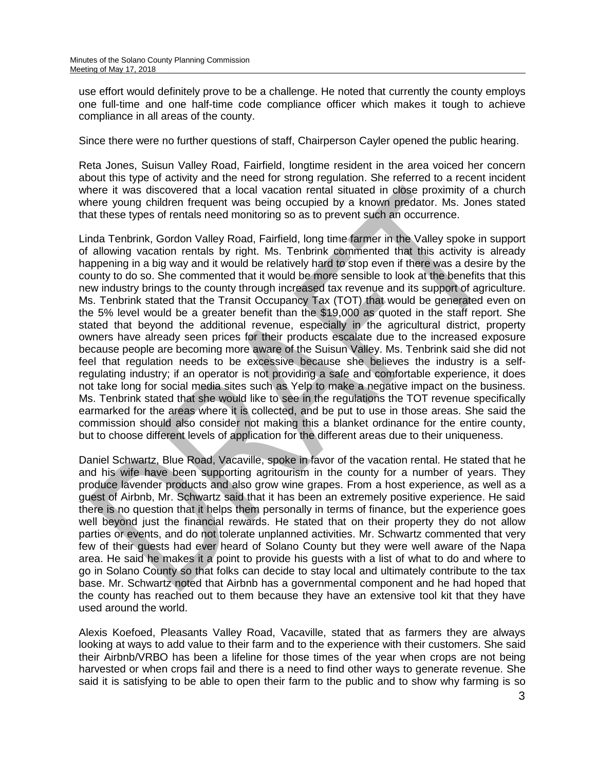use effort would definitely prove to be a challenge. He noted that currently the county employs one full-time and one half-time code compliance officer which makes it tough to achieve compliance in all areas of the county.

Since there were no further questions of staff, Chairperson Cayler opened the public hearing.

Reta Jones, Suisun Valley Road, Fairfield, longtime resident in the area voiced her concern about this type of activity and the need for strong regulation. She referred to a recent incident where it was discovered that a local vacation rental situated in close proximity of a church where young children frequent was being occupied by a known predator. Ms. Jones stated that these types of rentals need monitoring so as to prevent such an occurrence.

Linda Tenbrink, Gordon Valley Road, Fairfield, long time farmer in the Valley spoke in support of allowing vacation rentals by right. Ms. Tenbrink commented that this activity is already happening in a big way and it would be relatively hard to stop even if there was a desire by the county to do so. She commented that it would be more sensible to look at the benefits that this new industry brings to the county through increased tax revenue and its support of agriculture. Ms. Tenbrink stated that the Transit Occupancy Tax (TOT) that would be generated even on the 5% level would be a greater benefit than the \$19,000 as quoted in the staff report. She stated that beyond the additional revenue, especially in the agricultural district, property owners have already seen prices for their products escalate due to the increased exposure because people are becoming more aware of the Suisun Valley. Ms. Tenbrink said she did not feel that regulation needs to be excessive because she believes the industry is a selfregulating industry; if an operator is not providing a safe and comfortable experience, it does not take long for social media sites such as Yelp to make a negative impact on the business. Ms. Tenbrink stated that she would like to see in the regulations the TOT revenue specifically earmarked for the areas where it is collected, and be put to use in those areas. She said the commission should also consider not making this a blanket ordinance for the entire county, but to choose different levels of application for the different areas due to their uniqueness.

Daniel Schwartz, Blue Road, Vacaville, spoke in favor of the vacation rental. He stated that he and his wife have been supporting agritourism in the county for a number of years. They produce lavender products and also grow wine grapes. From a host experience, as well as a guest of Airbnb, Mr. Schwartz said that it has been an extremely positive experience. He said there is no question that it helps them personally in terms of finance, but the experience goes well beyond just the financial rewards. He stated that on their property they do not allow parties or events, and do not tolerate unplanned activities. Mr. Schwartz commented that very few of their guests had ever heard of Solano County but they were well aware of the Napa area. He said he makes it a point to provide his guests with a list of what to do and where to go in Solano County so that folks can decide to stay local and ultimately contribute to the tax base. Mr. Schwartz noted that Airbnb has a governmental component and he had hoped that the county has reached out to them because they have an extensive tool kit that they have used around the world.

Alexis Koefoed, Pleasants Valley Road, Vacaville, stated that as farmers they are always looking at ways to add value to their farm and to the experience with their customers. She said their Airbnb/VRBO has been a lifeline for those times of the year when crops are not being harvested or when crops fail and there is a need to find other ways to generate revenue. She said it is satisfying to be able to open their farm to the public and to show why farming is so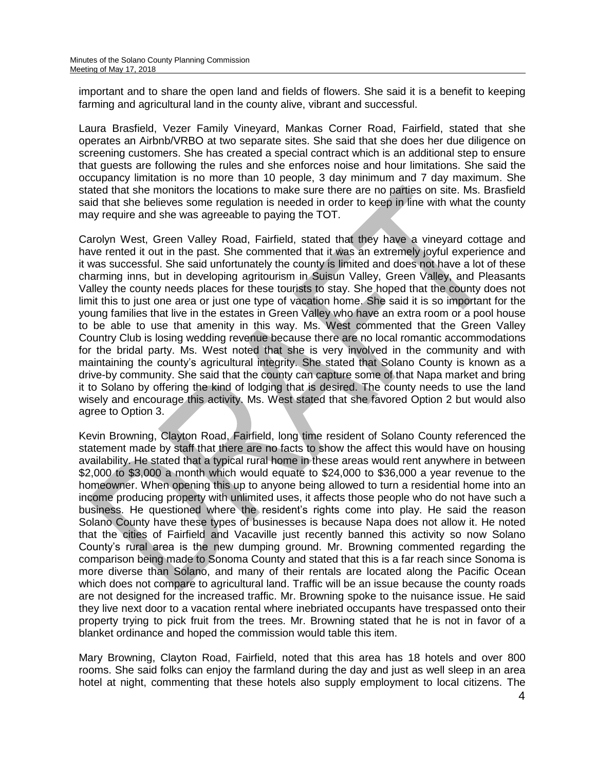important and to share the open land and fields of flowers. She said it is a benefit to keeping farming and agricultural land in the county alive, vibrant and successful.

Laura Brasfield, Vezer Family Vineyard, Mankas Corner Road, Fairfield, stated that she operates an Airbnb/VRBO at two separate sites. She said that she does her due diligence on screening customers. She has created a special contract which is an additional step to ensure that guests are following the rules and she enforces noise and hour limitations. She said the occupancy limitation is no more than 10 people, 3 day minimum and 7 day maximum. She stated that she monitors the locations to make sure there are no parties on site. Ms. Brasfield said that she believes some regulation is needed in order to keep in line with what the county may require and she was agreeable to paying the TOT.

Carolyn West, Green Valley Road, Fairfield, stated that they have a vineyard cottage and have rented it out in the past. She commented that it was an extremely joyful experience and it was successful. She said unfortunately the county is limited and does not have a lot of these charming inns, but in developing agritourism in Suisun Valley, Green Valley, and Pleasants Valley the county needs places for these tourists to stay. She hoped that the county does not limit this to just one area or just one type of vacation home. She said it is so important for the young families that live in the estates in Green Valley who have an extra room or a pool house to be able to use that amenity in this way. Ms. West commented that the Green Valley Country Club is losing wedding revenue because there are no local romantic accommodations for the bridal party. Ms. West noted that she is very involved in the community and with maintaining the county's agricultural integrity. She stated that Solano County is known as a drive-by community. She said that the county can capture some of that Napa market and bring it to Solano by offering the kind of lodging that is desired. The county needs to use the land wisely and encourage this activity. Ms. West stated that she favored Option 2 but would also agree to Option 3.

Kevin Browning, Clayton Road, Fairfield, long time resident of Solano County referenced the statement made by staff that there are no facts to show the affect this would have on housing availability. He stated that a typical rural home in these areas would rent anywhere in between \$2,000 to \$3,000 a month which would equate to \$24,000 to \$36,000 a year revenue to the homeowner. When opening this up to anyone being allowed to turn a residential home into an income producing property with unlimited uses, it affects those people who do not have such a business. He questioned where the resident's rights come into play. He said the reason Solano County have these types of businesses is because Napa does not allow it. He noted that the cities of Fairfield and Vacaville just recently banned this activity so now Solano County's rural area is the new dumping ground. Mr. Browning commented regarding the comparison being made to Sonoma County and stated that this is a far reach since Sonoma is more diverse than Solano, and many of their rentals are located along the Pacific Ocean which does not compare to agricultural land. Traffic will be an issue because the county roads are not designed for the increased traffic. Mr. Browning spoke to the nuisance issue. He said they live next door to a vacation rental where inebriated occupants have trespassed onto their property trying to pick fruit from the trees. Mr. Browning stated that he is not in favor of a blanket ordinance and hoped the commission would table this item.

Mary Browning, Clayton Road, Fairfield, noted that this area has 18 hotels and over 800 rooms. She said folks can enjoy the farmland during the day and just as well sleep in an area hotel at night, commenting that these hotels also supply employment to local citizens. The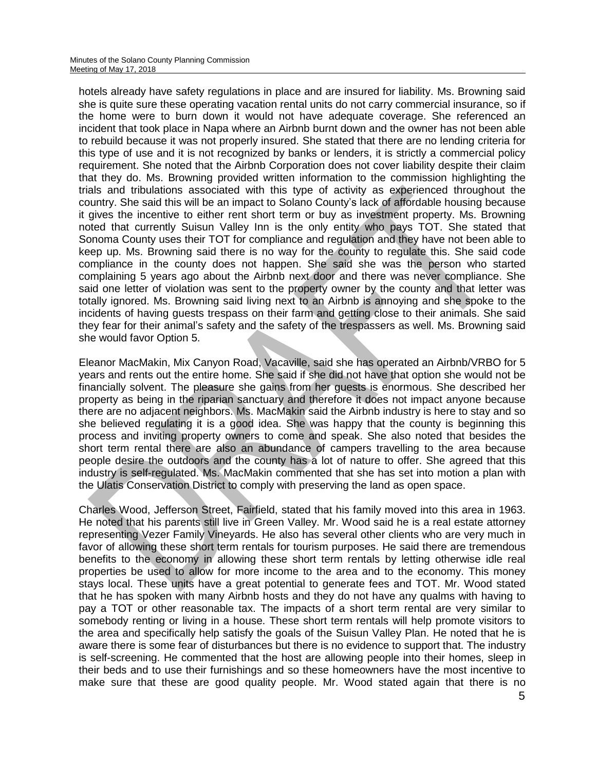hotels already have safety regulations in place and are insured for liability. Ms. Browning said she is quite sure these operating vacation rental units do not carry commercial insurance, so if the home were to burn down it would not have adequate coverage. She referenced an incident that took place in Napa where an Airbnb burnt down and the owner has not been able to rebuild because it was not properly insured. She stated that there are no lending criteria for this type of use and it is not recognized by banks or lenders, it is strictly a commercial policy requirement. She noted that the Airbnb Corporation does not cover liability despite their claim that they do. Ms. Browning provided written information to the commission highlighting the trials and tribulations associated with this type of activity as experienced throughout the country. She said this will be an impact to Solano County's lack of affordable housing because it gives the incentive to either rent short term or buy as investment property. Ms. Browning noted that currently Suisun Valley Inn is the only entity who pays TOT. She stated that Sonoma County uses their TOT for compliance and regulation and they have not been able to keep up. Ms. Browning said there is no way for the county to regulate this. She said code compliance in the county does not happen. She said she was the person who started complaining 5 years ago about the Airbnb next door and there was never compliance. She said one letter of violation was sent to the property owner by the county and that letter was totally ignored. Ms. Browning said living next to an Airbnb is annoying and she spoke to the incidents of having guests trespass on their farm and getting close to their animals. She said they fear for their animal's safety and the safety of the trespassers as well. Ms. Browning said she would favor Option 5.

Eleanor MacMakin, Mix Canyon Road, Vacaville, said she has operated an Airbnb/VRBO for 5 years and rents out the entire home. She said if she did not have that option she would not be financially solvent. The pleasure she gains from her guests is enormous. She described her property as being in the riparian sanctuary and therefore it does not impact anyone because there are no adjacent neighbors. Ms. MacMakin said the Airbnb industry is here to stay and so she believed regulating it is a good idea. She was happy that the county is beginning this process and inviting property owners to come and speak. She also noted that besides the short term rental there are also an abundance of campers travelling to the area because people desire the outdoors and the county has a lot of nature to offer. She agreed that this industry is self-regulated. Ms. MacMakin commented that she has set into motion a plan with the Ulatis Conservation District to comply with preserving the land as open space.

Charles Wood, Jefferson Street, Fairfield, stated that his family moved into this area in 1963. He noted that his parents still live in Green Valley. Mr. Wood said he is a real estate attorney representing Vezer Family Vineyards. He also has several other clients who are very much in favor of allowing these short term rentals for tourism purposes. He said there are tremendous benefits to the economy in allowing these short term rentals by letting otherwise idle real properties be used to allow for more income to the area and to the economy. This money stays local. These units have a great potential to generate fees and TOT. Mr. Wood stated that he has spoken with many Airbnb hosts and they do not have any qualms with having to pay a TOT or other reasonable tax. The impacts of a short term rental are very similar to somebody renting or living in a house. These short term rentals will help promote visitors to the area and specifically help satisfy the goals of the Suisun Valley Plan. He noted that he is aware there is some fear of disturbances but there is no evidence to support that. The industry is self-screening. He commented that the host are allowing people into their homes, sleep in their beds and to use their furnishings and so these homeowners have the most incentive to make sure that these are good quality people. Mr. Wood stated again that there is no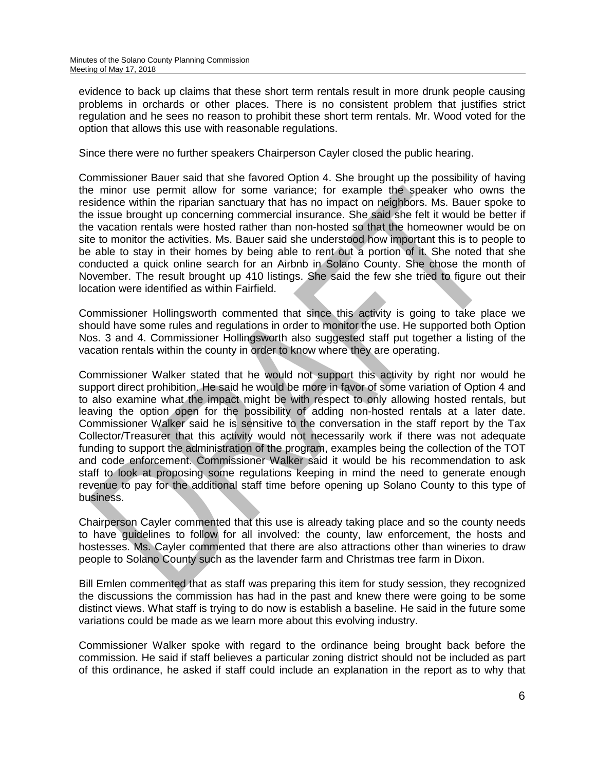evidence to back up claims that these short term rentals result in more drunk people causing problems in orchards or other places. There is no consistent problem that justifies strict regulation and he sees no reason to prohibit these short term rentals. Mr. Wood voted for the option that allows this use with reasonable regulations.

Since there were no further speakers Chairperson Cayler closed the public hearing.

Commissioner Bauer said that she favored Option 4. She brought up the possibility of having the minor use permit allow for some variance; for example the speaker who owns the residence within the riparian sanctuary that has no impact on neighbors. Ms. Bauer spoke to the issue brought up concerning commercial insurance. She said she felt it would be better if the vacation rentals were hosted rather than non-hosted so that the homeowner would be on site to monitor the activities. Ms. Bauer said she understood how important this is to people to be able to stay in their homes by being able to rent out a portion of it. She noted that she conducted a quick online search for an Airbnb in Solano County. She chose the month of November. The result brought up 410 listings. She said the few she tried to figure out their location were identified as within Fairfield.

Commissioner Hollingsworth commented that since this activity is going to take place we should have some rules and regulations in order to monitor the use. He supported both Option Nos. 3 and 4. Commissioner Hollingsworth also suggested staff put together a listing of the vacation rentals within the county in order to know where they are operating.

Commissioner Walker stated that he would not support this activity by right nor would he support direct prohibition. He said he would be more in favor of some variation of Option 4 and to also examine what the impact might be with respect to only allowing hosted rentals, but leaving the option open for the possibility of adding non-hosted rentals at a later date. Commissioner Walker said he is sensitive to the conversation in the staff report by the Tax Collector/Treasurer that this activity would not necessarily work if there was not adequate funding to support the administration of the program, examples being the collection of the TOT and code enforcement. Commissioner Walker said it would be his recommendation to ask staff to look at proposing some regulations keeping in mind the need to generate enough revenue to pay for the additional staff time before opening up Solano County to this type of business.

Chairperson Cayler commented that this use is already taking place and so the county needs to have guidelines to follow for all involved: the county, law enforcement, the hosts and hostesses. Ms. Cayler commented that there are also attractions other than wineries to draw people to Solano County such as the lavender farm and Christmas tree farm in Dixon.

Bill Emlen commented that as staff was preparing this item for study session, they recognized the discussions the commission has had in the past and knew there were going to be some distinct views. What staff is trying to do now is establish a baseline. He said in the future some variations could be made as we learn more about this evolving industry.

Commissioner Walker spoke with regard to the ordinance being brought back before the commission. He said if staff believes a particular zoning district should not be included as part of this ordinance, he asked if staff could include an explanation in the report as to why that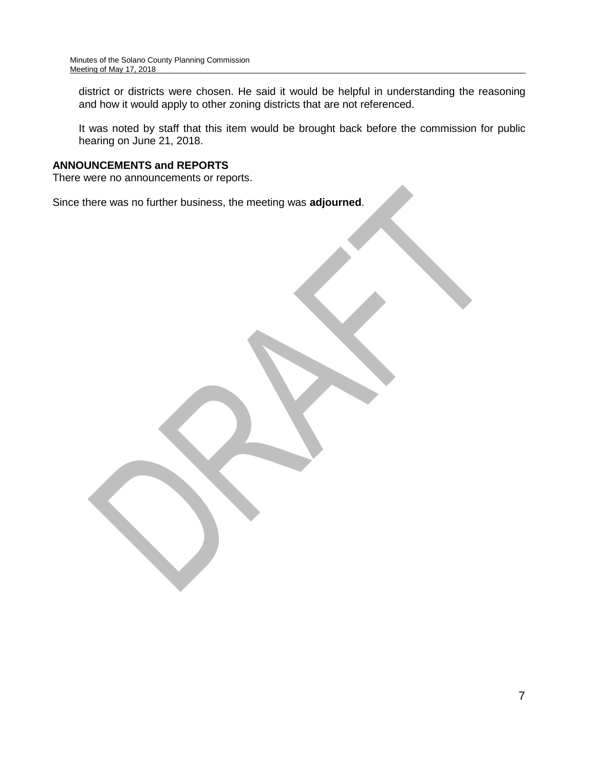district or districts were chosen. He said it would be helpful in understanding the reasoning and how it would apply to other zoning districts that are not referenced.

It was noted by staff that this item would be brought back before the commission for public hearing on June 21, 2018.

## **ANNOUNCEMENTS and REPORTS**

There were no announcements or reports.

Since there was no further business, the meeting was **adjourned**.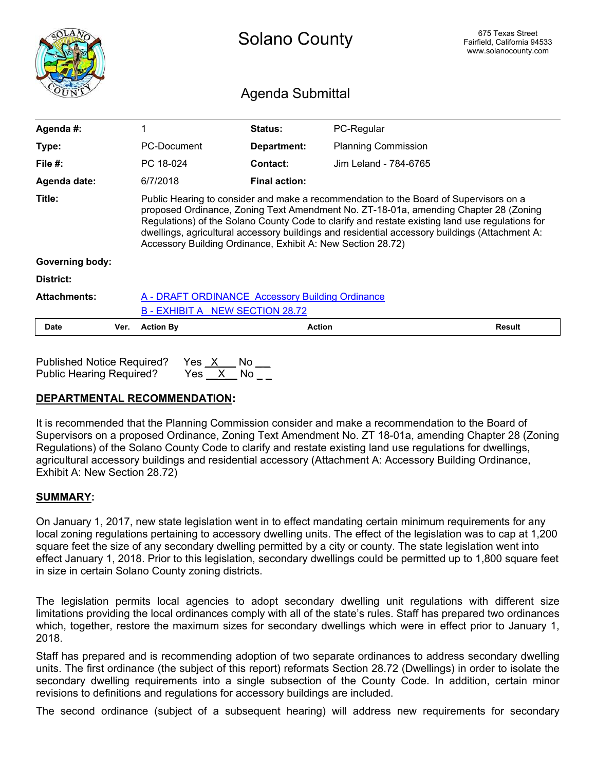<span id="page-11-0"></span>

|                         |      | <b>Solano County</b>                                                                                                                                                                                                                                                                                                                                                                                                                              |                      |                            | 675 Texas Street<br>Fairfield, California 94533<br>www.solanocounty.com |
|-------------------------|------|---------------------------------------------------------------------------------------------------------------------------------------------------------------------------------------------------------------------------------------------------------------------------------------------------------------------------------------------------------------------------------------------------------------------------------------------------|----------------------|----------------------------|-------------------------------------------------------------------------|
| <b>Agenda Submittal</b> |      |                                                                                                                                                                                                                                                                                                                                                                                                                                                   |                      |                            |                                                                         |
| Agenda #:               |      | 1                                                                                                                                                                                                                                                                                                                                                                                                                                                 | Status:              | PC-Regular                 |                                                                         |
| Type:                   |      | PC-Document                                                                                                                                                                                                                                                                                                                                                                                                                                       | Department:          | <b>Planning Commission</b> |                                                                         |
| File $#$ :              |      | PC 18-024                                                                                                                                                                                                                                                                                                                                                                                                                                         | Contact:             | Jim Leland - 784-6765      |                                                                         |
| Agenda date:            |      | 6/7/2018                                                                                                                                                                                                                                                                                                                                                                                                                                          | <b>Final action:</b> |                            |                                                                         |
| Title:                  |      | Public Hearing to consider and make a recommendation to the Board of Supervisors on a<br>proposed Ordinance, Zoning Text Amendment No. ZT-18-01a, amending Chapter 28 (Zoning<br>Regulations) of the Solano County Code to clarify and restate existing land use regulations for<br>dwellings, agricultural accessory buildings and residential accessory buildings (Attachment A:<br>Accessory Building Ordinance, Exhibit A: New Section 28.72) |                      |                            |                                                                         |
| <b>Governing body:</b>  |      |                                                                                                                                                                                                                                                                                                                                                                                                                                                   |                      |                            |                                                                         |
| District:               |      |                                                                                                                                                                                                                                                                                                                                                                                                                                                   |                      |                            |                                                                         |
| <b>Attachments:</b>     |      | A - DRAFT ORDINANCE Accessory Building Ordinance                                                                                                                                                                                                                                                                                                                                                                                                  |                      |                            |                                                                         |
|                         |      | B - EXHIBIT A NEW SECTION 28.72                                                                                                                                                                                                                                                                                                                                                                                                                   |                      |                            |                                                                         |
| <b>Date</b>             | Ver. | <b>Action By</b>                                                                                                                                                                                                                                                                                                                                                                                                                                  |                      | <b>Action</b>              | <b>Result</b>                                                           |

| Published Notice Required? Yes X No |          |  |
|-------------------------------------|----------|--|
| <b>Public Hearing Required?</b>     | Yes X No |  |

## **DEPARTMENTAL RECOMMENDATION:**

It is recommended that the Planning Commission consider and make a recommendation to the Board of Supervisors on a proposed Ordinance, Zoning Text Amendment No. ZT 18-01a, amending Chapter 28 (Zoning Regulations) of the Solano County Code to clarify and restate existing land use regulations for dwellings, agricultural accessory buildings and residential accessory (Attachment A: Accessory Building Ordinance, Exhibit A: New Section 28.72)

## **SUMMARY:**

On January 1, 2017, new state legislation went in to effect mandating certain minimum requirements for any local zoning regulations pertaining to accessory dwelling units. The effect of the legislation was to cap at 1,200 square feet the size of any secondary dwelling permitted by a city or county. The state legislation went into effect January 1, 2018. Prior to this legislation, secondary dwellings could be permitted up to 1,800 square feet in size in certain Solano County zoning districts.

The legislation permits local agencies to adopt secondary dwelling unit regulations with different size limitations providing the local ordinances comply with all of the state's rules. Staff has prepared two ordinances which, together, restore the maximum sizes for secondary dwellings which were in effect prior to January 1, 2018.

Staff has prepared and is recommending adoption of two separate ordinances to address secondary dwelling units. The first ordinance (the subject of this report) reformats Section 28.72 (Dwellings) in order to isolate the secondary dwelling requirements into a single subsection of the County Code. In addition, certain minor revisions to definitions and regulations for accessory buildings are included.

The second ordinance (subject of a subsequent hearing) will address new requirements for secondary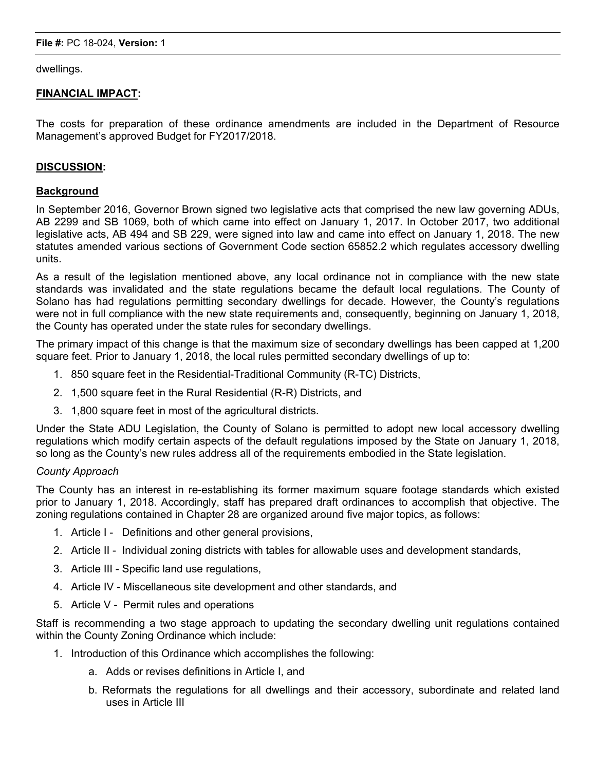dwellings.

#### **FINANCIAL IMPACT:**

The costs for preparation of these ordinance amendments are included in the Department of Resource Management's approved Budget for FY2017/2018.

#### **DISCUSSION:**

#### **Background**

In September 2016, Governor Brown signed two legislative acts that comprised the new law governing ADUs, AB 2299 and SB 1069, both of which came into effect on January 1, 2017. In October 2017, two additional legislative acts, AB 494 and SB 229, were signed into law and came into effect on January 1, 2018. The new statutes amended various sections of Government Code section 65852.2 which regulates accessory dwelling units.

As a result of the legislation mentioned above, any local ordinance not in compliance with the new state standards was invalidated and the state regulations became the default local regulations. The County of Solano has had regulations permitting secondary dwellings for decade. However, the County's regulations were not in full compliance with the new state requirements and, consequently, beginning on January 1, 2018, the County has operated under the state rules for secondary dwellings.

The primary impact of this change is that the maximum size of secondary dwellings has been capped at 1,200 square feet. Prior to January 1, 2018, the local rules permitted secondary dwellings of up to:

- 1. 850 square feet in the Residential-Traditional Community (R-TC) Districts,
- 2. 1,500 square feet in the Rural Residential (R-R) Districts, and
- 3. 1,800 square feet in most of the agricultural districts.

Under the State ADU Legislation, the County of Solano is permitted to adopt new local accessory dwelling regulations which modify certain aspects of the default regulations imposed by the State on January 1, 2018, so long as the County's new rules address all of the requirements embodied in the State legislation.

#### *County Approach*

The County has an interest in re-establishing its former maximum square footage standards which existed prior to January 1, 2018. Accordingly, staff has prepared draft ordinances to accomplish that objective. The zoning regulations contained in Chapter 28 are organized around five major topics, as follows:

- 1. Article I Definitions and other general provisions,
- 2. Article II Individual zoning districts with tables for allowable uses and development standards,
- 3. Article III Specific land use regulations,
- 4. Article IV Miscellaneous site development and other standards, and
- 5. Article V Permit rules and operations

Staff is recommending a two stage approach to updating the secondary dwelling unit regulations contained within the County Zoning Ordinance which include:

- 1. Introduction of this Ordinance which accomplishes the following:
	- a. Adds or revises definitions in Article I, and
	- b. Reformats the regulations for all dwellings and their accessory, subordinate and related land uses in Article III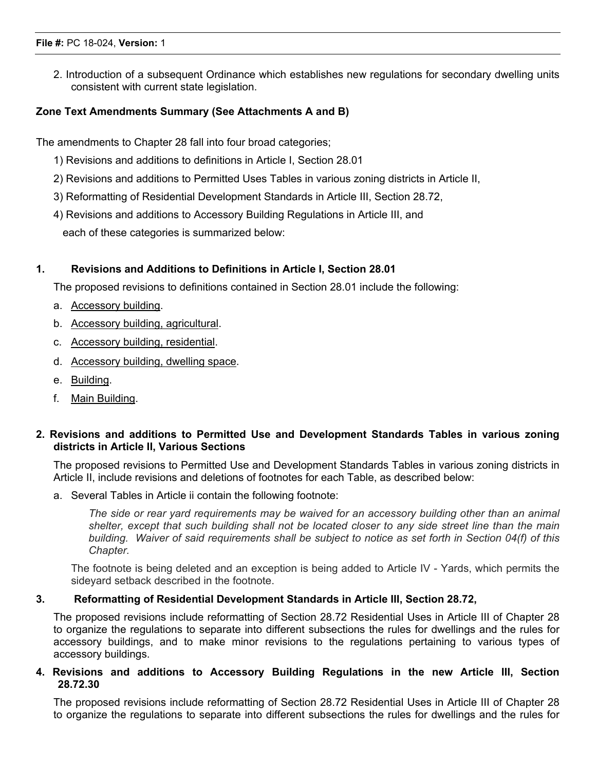2. Introduction of a subsequent Ordinance which establishes new regulations for secondary dwelling units consistent with current state legislation.

## **Zone Text Amendments Summary (See Attachments A and B)**

The amendments to Chapter 28 fall into four broad categories;

- 1) Revisions and additions to definitions in Article I, Section 28.01
- 2) Revisions and additions to Permitted Uses Tables in various zoning districts in Article II,
- 3) Reformatting of Residential Development Standards in Article III, Section 28.72,
- 4) Revisions and additions to Accessory Building Regulations in Article III, and each of these categories is summarized below:

## **1. Revisions and Additions to Definitions in Article I, Section 28.01**

The proposed revisions to definitions contained in Section 28.01 include the following:

- a. Accessory building.
- b. Accessory building, agricultural.
- c. Accessory building, residential.
- d. Accessory building, dwelling space.
- e. Building.
- f. Main Building.

## **2. Revisions and additions to Permitted Use and Development Standards Tables in various zoning districts in Article II, Various Sections**

The proposed revisions to Permitted Use and Development Standards Tables in various zoning districts in Article II, include revisions and deletions of footnotes for each Table, as described below:

a. Several Tables in Article ii contain the following footnote:

*The side or rear yard requirements may be waived for an accessory building other than an animal* shelter, except that such building shall not be located closer to any side street line than the main building. Waiver of said requirements shall be subject to notice as set forth in Section 04(f) of this *Chapter.*

The footnote is being deleted and an exception is being added to Article IV - Yards, which permits the sideyard setback described in the footnote.

## **3. Reformatting of Residential Development Standards in Article III, Section 28.72,**

The proposed revisions include reformatting of Section 28.72 Residential Uses in Article III of Chapter 28 to organize the regulations to separate into different subsections the rules for dwellings and the rules for accessory buildings, and to make minor revisions to the regulations pertaining to various types of accessory buildings.

## **4. Revisions and additions to Accessory Building Regulations in the new Article III, Section 28.72.30**

The proposed revisions include reformatting of Section 28.72 Residential Uses in Article III of Chapter 28 to organize the regulations to separate into different subsections the rules for dwellings and the rules for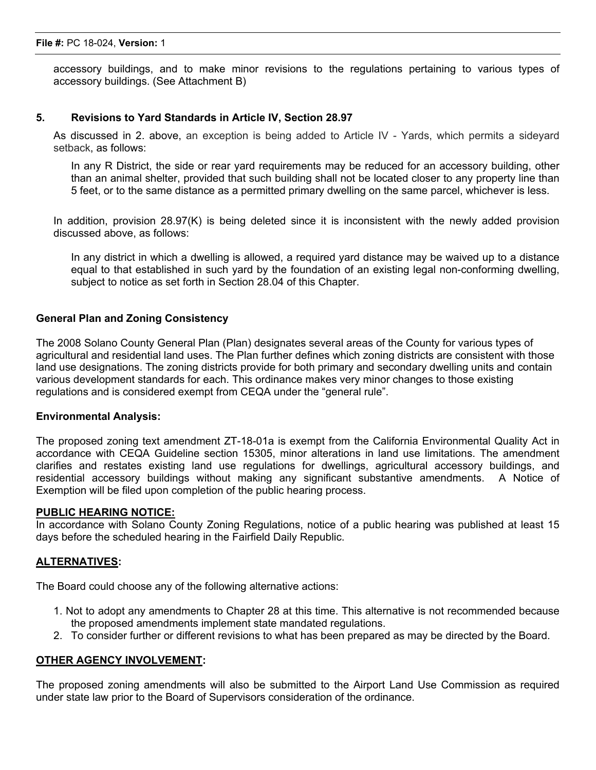accessory buildings, and to make minor revisions to the regulations pertaining to various types of accessory buildings. (See Attachment B)

#### **5. Revisions to Yard Standards in Article IV, Section 28.97**

As discussed in 2. above, an exception is being added to Article IV - Yards, which permits a sideyard setback, as follows:

In any R District, the side or rear yard requirements may be reduced for an accessory building, other than an animal shelter, provided that such building shall not be located closer to any property line than 5 feet, or to the same distance as a permitted primary dwelling on the same parcel, whichever is less.

In addition, provision 28.97(K) is being deleted since it is inconsistent with the newly added provision discussed above, as follows:

In any district in which a dwelling is allowed, a required yard distance may be waived up to a distance equal to that established in such yard by the foundation of an existing legal non-conforming dwelling, subject to notice as set forth in Section 28.04 of this Chapter.

#### **General Plan and Zoning Consistency**

The 2008 Solano County General Plan (Plan) designates several areas of the County for various types of agricultural and residential land uses. The Plan further defines which zoning districts are consistent with those land use designations. The zoning districts provide for both primary and secondary dwelling units and contain various development standards for each. This ordinance makes very minor changes to those existing regulations and is considered exempt from CEQA under the "general rule".

#### **Environmental Analysis:**

The proposed zoning text amendment ZT-18-01a is exempt from the California Environmental Quality Act in accordance with CEQA Guideline section 15305, minor alterations in land use limitations. The amendment clarifies and restates existing land use regulations for dwellings, agricultural accessory buildings, and residential accessory buildings without making any significant substantive amendments. A Notice of Exemption will be filed upon completion of the public hearing process.

#### **PUBLIC HEARING NOTICE:**

In accordance with Solano County Zoning Regulations, notice of a public hearing was published at least 15 days before the scheduled hearing in the Fairfield Daily Republic.

#### **ALTERNATIVES:**

The Board could choose any of the following alternative actions:

- 1. Not to adopt any amendments to Chapter 28 at this time. This alternative is not recommended because the proposed amendments implement state mandated regulations.
- 2. To consider further or different revisions to what has been prepared as may be directed by the Board.

#### **OTHER AGENCY INVOLVEMENT:**

The proposed zoning amendments will also be submitted to the Airport Land Use Commission as required under state law prior to the Board of Supervisors consideration of the ordinance.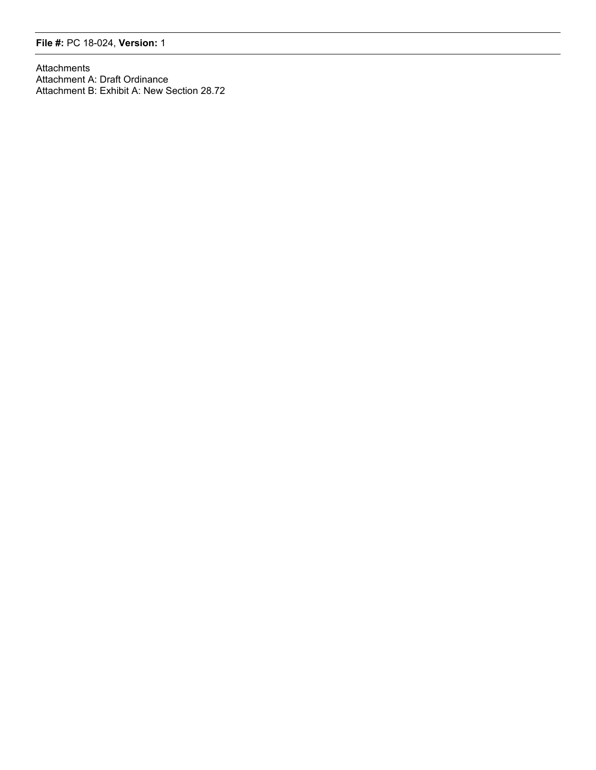#### **File #:** PC 18-024, **Version:** 1

Attachments Attachment A: Draft Ordinance Attachment B: Exhibit A: New Section 28.72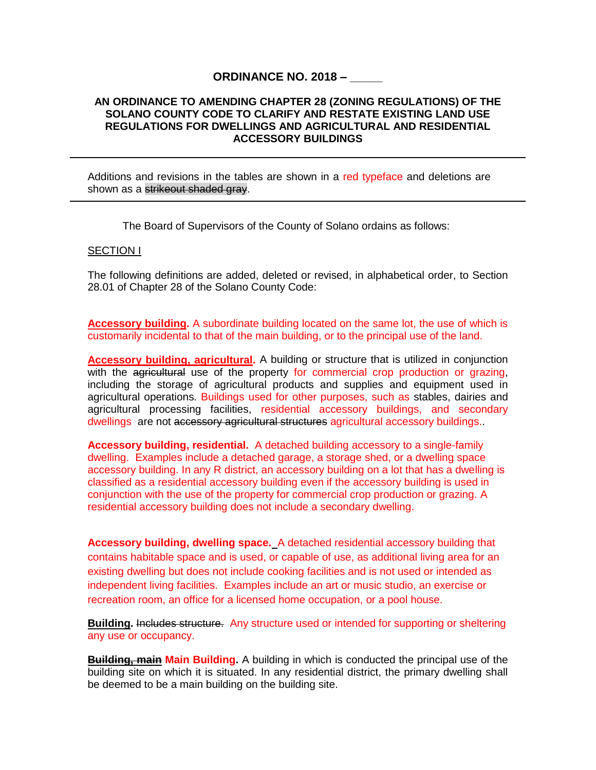#### **ORDINANCE NO. 2018 – \_\_\_\_\_**

#### <span id="page-16-0"></span>**AN ORDINANCE TO AMENDING CHAPTER 28 (ZONING REGULATIONS) OF THE SOLANO COUNTY CODE TO CLARIFY AND RESTATE EXISTING LAND USE REGULATIONS FOR DWELLINGS AND AGRICULTURAL AND RESIDENTIAL ACCESSORY BUILDINGS**

Additions and revisions in the tables are shown in a red typeface and deletions are shown as a strikeout shaded gray.

The Board of Supervisors of the County of Solano ordains as follows:

#### SECTION I

The following definitions are added, deleted or revised, in alphabetical order, to Section 28.01 of Chapter 28 of the Solano County Code:

**Accessory building.** A subordinate building located on the same lot, the use of which is customarily incidental to that of the main building, or to the principal use of the land.

**Accessory building, agricultural.** A building or structure that is utilized in conjunction with the agricultural use of the property for commercial crop production or grazing. including the storage of agricultural products and supplies and equipment used in agricultural operations. Buildings used for other purposes, such as stables, dairies and agricultural processing facilities, residential accessory buildings, and secondary dwellings are not accessory agricultural structures agricultural accessory buildings.

**Accessory building, residential.** A detached building accessory to a single-family dwelling. Examples include a detached garage, a storage shed, or a dwelling space accessory building. In any R district, an accessory building on a lot that has a dwelling is classified as a residential accessory building even if the accessory building is used in conjunction with the use of the property for commercial crop production or grazing. A residential accessory building does not include a secondary dwelling.

**Accessory building, dwelling space.**A detached residential accessory building that contains habitable space and is used, or capable of use, as additional living area for an existing dwelling but does not include cooking facilities and is not used or intended as independent living facilities. Examples include an art or music studio, an exercise or recreation room, an office for a licensed home occupation, or a pool house.

**Building.** Includes structure. Any structure used or intended for supporting or sheltering any use or occupancy.

**Building, main Main Building.** A building in which is conducted the principal use of the building site on which it is situated. In any residential district, the primary dwelling shall be deemed to be a main building on the building site.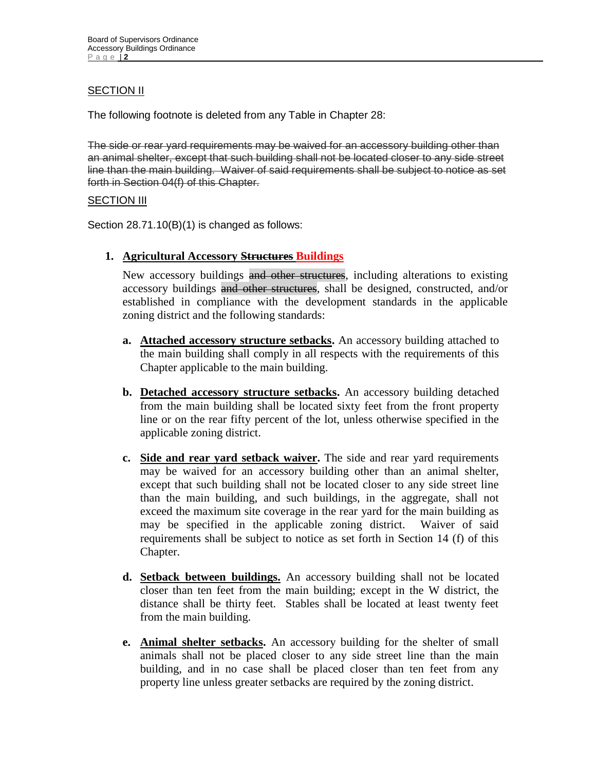## **SECTION II**

The following footnote is deleted from any Table in Chapter 28:

The side or rear yard requirements may be waived for an accessory building other than an animal shelter, except that such building shall not be located closer to any side street line than the main building. Waiver of said requirements shall be subject to notice as set forth in Section 04(f) of this Chapter.

## SECTION III

Section 28.71.10(B)(1) is changed as follows:

**1. Agricultural Accessory Structures Buildings**

New accessory buildings and other structures, including alterations to existing accessory buildings and other structures, shall be designed, constructed, and/or established in compliance with the development standards in the applicable zoning district and the following standards:

- **a. Attached accessory structure setbacks.** An accessory building attached to the main building shall comply in all respects with the requirements of this Chapter applicable to the main building.
- **b. Detached accessory structure setbacks.** An accessory building detached from the main building shall be located sixty feet from the front property line or on the rear fifty percent of the lot, unless otherwise specified in the applicable zoning district.
- **c. Side and rear yard setback waiver.** The side and rear yard requirements may be waived for an accessory building other than an animal shelter, except that such building shall not be located closer to any side street line than the main building, and such buildings, in the aggregate, shall not exceed the maximum site coverage in the rear yard for the main building as may be specified in the applicable zoning district. Waiver of said requirements shall be subject to notice as set forth in Section 14 (f) of this Chapter.
- **d. Setback between buildings.** An accessory building shall not be located closer than ten feet from the main building; except in the W district, the distance shall be thirty feet. Stables shall be located at least twenty feet from the main building.
- **e. Animal shelter setbacks.** An accessory building for the shelter of small animals shall not be placed closer to any side street line than the main building, and in no case shall be placed closer than ten feet from any property line unless greater setbacks are required by the zoning district.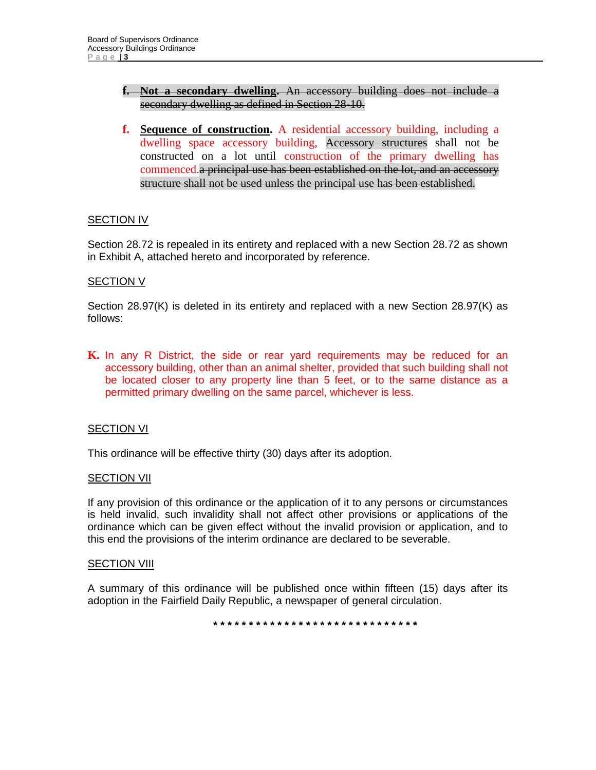#### **f. Not a secondary dwelling.** An accessory building does not include a secondary dwelling as defined in Section 28-10.

**f. Sequence of construction.** A residential accessory building, including a dwelling space accessory building, Accessory structures shall not be constructed on a lot until construction of the primary dwelling has commenced.a principal use has been established on the lot, and an accessory structure shall not be used unless the principal use has been established.

#### SECTION IV

Section 28.72 is repealed in its entirety and replaced with a new Section 28.72 as shown in Exhibit A, attached hereto and incorporated by reference.

#### SECTION V

Section 28.97(K) is deleted in its entirety and replaced with a new Section 28.97(K) as follows:

**K.** In any R District, the side or rear yard requirements may be reduced for an accessory building, other than an animal shelter, provided that such building shall not be located closer to any property line than 5 feet, or to the same distance as a permitted primary dwelling on the same parcel, whichever is less.

#### SECTION VI

This ordinance will be effective thirty (30) days after its adoption.

#### SECTION VII

If any provision of this ordinance or the application of it to any persons or circumstances is held invalid, such invalidity shall not affect other provisions or applications of the ordinance which can be given effect without the invalid provision or application, and to this end the provisions of the interim ordinance are declared to be severable.

#### **SECTION VIII**

A summary of this ordinance will be published once within fifteen (15) days after its adoption in the Fairfield Daily Republic, a newspaper of general circulation.

**\* \* \* \* \* \* \* \* \* \* \* \* \* \* \* \* \* \* \* \* \* \* \* \* \* \* \* \* \***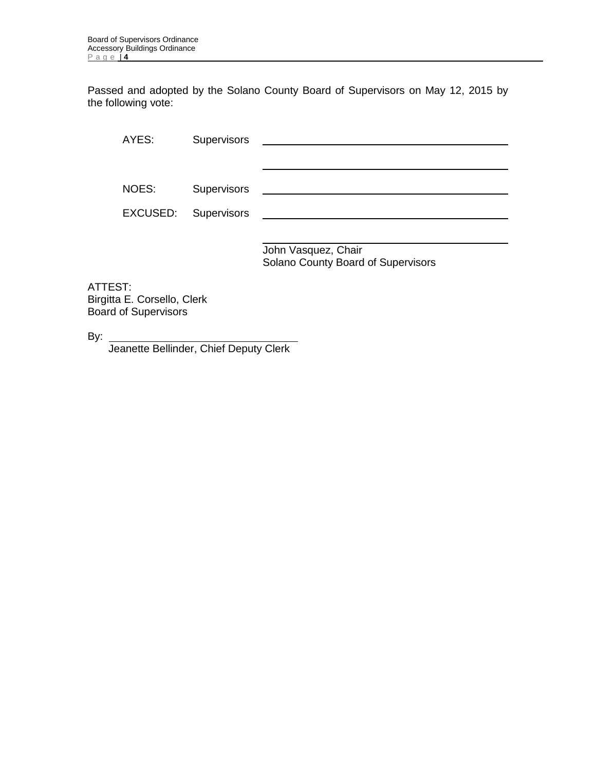Passed and adopted by the Solano County Board of Supervisors on May 12, 2015 by the following vote:

AYES: Supervisors NOES: Supervisors **CONSIDENTS** Supervisors **CONSIDENTS** SUPERVISORS **CONSIDENTS** SUPERVISORS SUPERVISORS SUPERVISORS SUPERVISORS SUPERVISORS SUPERVISORS SUPERVISORS SUPERVISORS SUPERVISORS SUPERVISORS SUPERVISORS SUPERVISO EXCUSED: Supervisors

> John Vasquez, Chair Solano County Board of Supervisors

j.

ATTEST: Birgitta E. Corsello, Clerk Board of Supervisors

By:

Jeanette Bellinder, Chief Deputy Clerk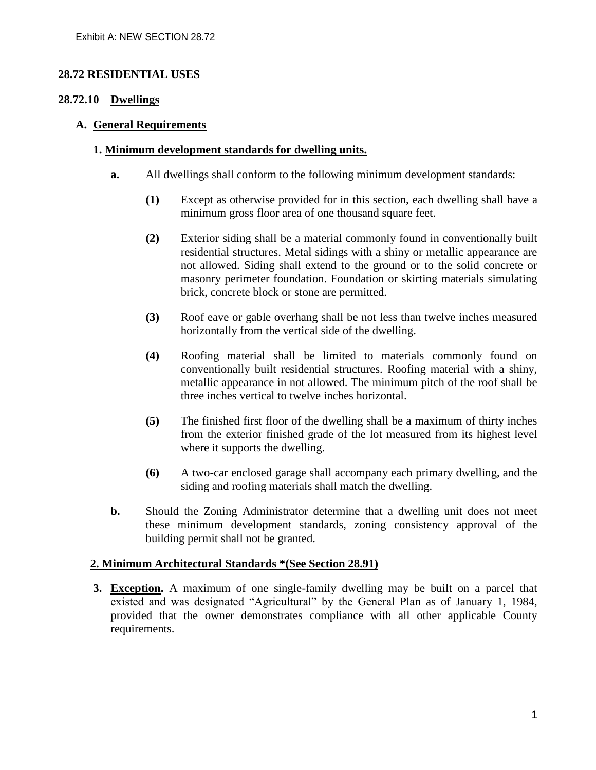## <span id="page-20-0"></span>**28.72 RESIDENTIAL USES**

## **28.72.10 Dwellings**

#### **A. General Requirements**

#### **1. Minimum development standards for dwelling units.**

- **a.** All dwellings shall conform to the following minimum development standards:
	- **(1)** Except as otherwise provided for in this section, each dwelling shall have a minimum gross floor area of one thousand square feet.
	- **(2)** Exterior siding shall be a material commonly found in conventionally built residential structures. Metal sidings with a shiny or metallic appearance are not allowed. Siding shall extend to the ground or to the solid concrete or masonry perimeter foundation. Foundation or skirting materials simulating brick, concrete block or stone are permitted.
	- **(3)** Roof eave or gable overhang shall be not less than twelve inches measured horizontally from the vertical side of the dwelling.
	- **(4)** Roofing material shall be limited to materials commonly found on conventionally built residential structures. Roofing material with a shiny, metallic appearance in not allowed. The minimum pitch of the roof shall be three inches vertical to twelve inches horizontal.
	- **(5)** The finished first floor of the dwelling shall be a maximum of thirty inches from the exterior finished grade of the lot measured from its highest level where it supports the dwelling.
	- **(6)** A two-car enclosed garage shall accompany each primary dwelling, and the siding and roofing materials shall match the dwelling.
- **b.** Should the Zoning Administrator determine that a dwelling unit does not meet these minimum development standards, zoning consistency approval of the building permit shall not be granted.

## **2. Minimum Architectural Standards \*(See Section 28.91)**

**3. Exception.** A maximum of one single-family dwelling may be built on a parcel that existed and was designated "Agricultural" by the General Plan as of January 1, 1984, provided that the owner demonstrates compliance with all other applicable County requirements.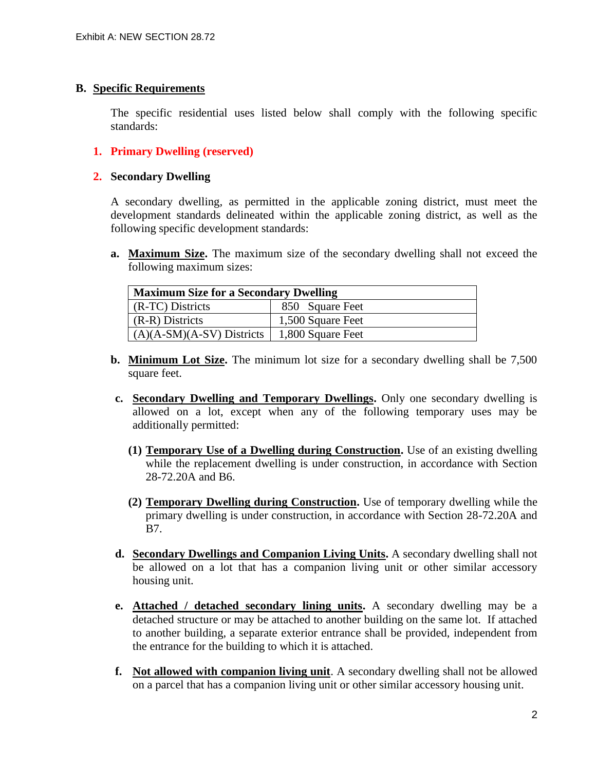#### **B. Specific Requirements**

The specific residential uses listed below shall comply with the following specific standards:

## **1. Primary Dwelling (reserved)**

#### **2. Secondary Dwelling**

A secondary dwelling*,* as permitted in the applicable zoning district, must meet the development standards delineated within the applicable zoning district, as well as the following specific development standards:

**a. Maximum Size.** The maximum size of the secondary dwelling shall not exceed the following maximum sizes:

| <b>Maximum Size for a Secondary Dwelling</b> |                   |  |
|----------------------------------------------|-------------------|--|
| (R-TC) Districts                             | 850 Square Feet   |  |
| (R-R) Districts                              | 1,500 Square Feet |  |
| $(A)(A-SM)(A-SV)$ Districts                  | 1,800 Square Feet |  |

- **b. Minimum Lot Size.** The minimum lot size for a secondary dwelling shall be 7,500 square feet.
- **c. Secondary Dwelling and Temporary Dwellings.** Only one secondary dwelling is allowed on a lot, except when any of the following temporary uses may be additionally permitted:
	- **(1) Temporary Use of a Dwelling during Construction.** Use of an existing dwelling while the replacement dwelling is under construction, in accordance with Section 28-72.20A and B6.
	- **(2) Temporary Dwelling during Construction.** Use of temporary dwelling while the primary dwelling is under construction, in accordance with Section 28-72.20A and B7.
- **d. Secondary Dwellings and Companion Living Units.** A secondary dwelling shall not be allowed on a lot that has a companion living unit or other similar accessory housing unit.
- **e. Attached / detached secondary lining units.** A secondary dwelling may be a detached structure or may be attached to another building on the same lot. If attached to another building, a separate exterior entrance shall be provided, independent from the entrance for the building to which it is attached.
- **f. Not allowed with companion living unit**. A secondary dwelling shall not be allowed on a parcel that has a companion living unit or other similar accessory housing unit.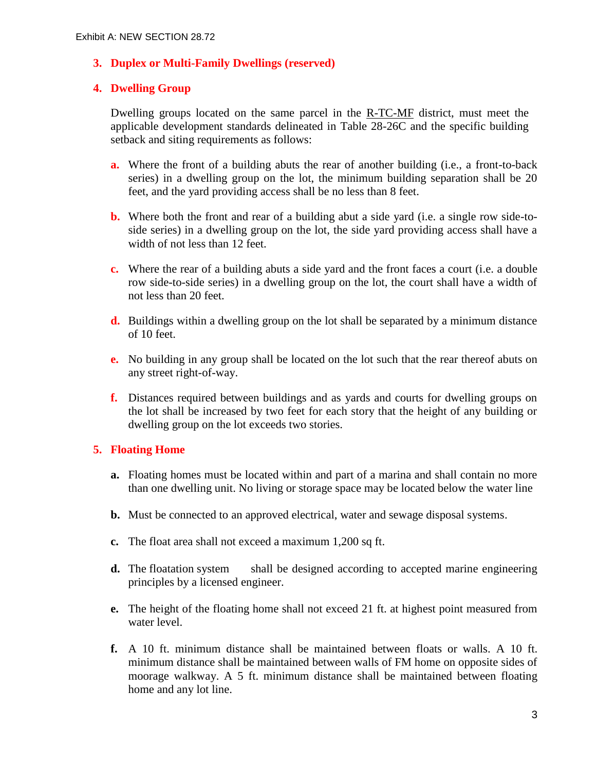## **3. Duplex or Multi-Family Dwellings (reserved)**

## **4. Dwelling Group**

Dwelling groups located on the same parcel in the R-TC-MF district, must meet the applicable development standards delineated in Table 28-26C and the specific building setback and siting requirements as follows:

- **a.** Where the front of a building abuts the rear of another building (i.e., a front-to-back series) in a dwelling group on the lot, the minimum building separation shall be 20 feet, and the yard providing access shall be no less than 8 feet.
- **b.** Where both the front and rear of a building abut a side yard (i.e. a single row side-toside series) in a dwelling group on the lot, the side yard providing access shall have a width of not less than 12 feet.
- **c.** Where the rear of a building abuts a side yard and the front faces a court (i.e. a double row side-to-side series) in a dwelling group on the lot, the court shall have a width of not less than 20 feet.
- **d.** Buildings within a dwelling group on the lot shall be separated by a minimum distance of 10 feet.
- **e.** No building in any group shall be located on the lot such that the rear thereof abuts on any street right-of-way.
- **f.** Distances required between buildings and as yards and courts for dwelling groups on the lot shall be increased by two feet for each story that the height of any building or dwelling group on the lot exceeds two stories.

## **5. Floating Home**

- **a.** Floating homes must be located within and part of a marina and shall contain no more than one dwelling unit. No living or storage space may be located below the water line
- **b.** Must be connected to an approved electrical, water and sewage disposal systems.
- **c.** The float area shall not exceed a maximum 1,200 sq ft.
- **d.** The floatation system shall be designed according to accepted marine engineering principles by a licensed engineer.
- **e.** The height of the floating home shall not exceed 21 ft. at highest point measured from water level.
- **f.** A 10 ft. minimum distance shall be maintained between floats or walls. A 10 ft. minimum distance shall be maintained between walls of FM home on opposite sides of moorage walkway. A 5 ft. minimum distance shall be maintained between floating home and any lot line.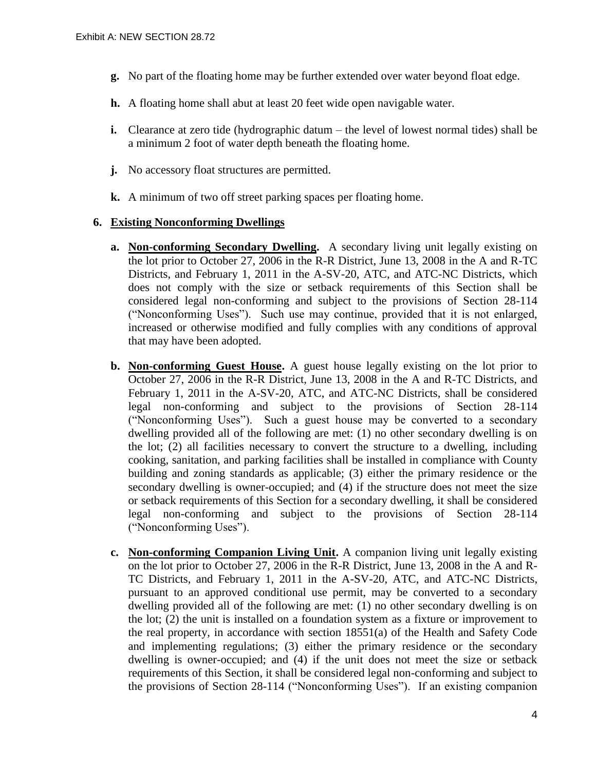- **g.** No part of the floating home may be further extended over water beyond float edge.
- **h.** A floating home shall abut at least 20 feet wide open navigable water.
- **i.** Clearance at zero tide (hydrographic datum the level of lowest normal tides) shall be a minimum 2 foot of water depth beneath the floating home.
- **j.** No accessory float structures are permitted.
- **k.** A minimum of two off street parking spaces per floating home.

#### **6. Existing Nonconforming Dwellings**

- **a. Non-conforming Secondary Dwelling.** A secondary living unit legally existing on the lot prior to October 27, 2006 in the R-R District, June 13, 2008 in the A and R-TC Districts, and February 1, 2011 in the A-SV-20, ATC, and ATC-NC Districts, which does not comply with the size or setback requirements of this Section shall be considered legal non-conforming and subject to the provisions of Section 28-114 ("Nonconforming Uses"). Such use may continue, provided that it is not enlarged, increased or otherwise modified and fully complies with any conditions of approval that may have been adopted.
- **b. Non-conforming Guest House.** A guest house legally existing on the lot prior to October 27, 2006 in the R-R District, June 13, 2008 in the A and R-TC Districts, and February 1, 2011 in the A-SV-20, ATC, and ATC-NC Districts, shall be considered legal non-conforming and subject to the provisions of Section 28-114 ("Nonconforming Uses"). Such a guest house may be converted to a secondary dwelling provided all of the following are met: (1) no other secondary dwelling is on the lot; (2) all facilities necessary to convert the structure to a dwelling, including cooking, sanitation, and parking facilities shall be installed in compliance with County building and zoning standards as applicable; (3) either the primary residence or the secondary dwelling is owner-occupied; and (4) if the structure does not meet the size or setback requirements of this Section for a secondary dwelling, it shall be considered legal non-conforming and subject to the provisions of Section 28-114 ("Nonconforming Uses").
- **c. Non-conforming Companion Living Unit.** A companion living unit legally existing on the lot prior to October 27, 2006 in the R-R District, June 13, 2008 in the A and R-TC Districts, and February 1, 2011 in the A-SV-20, ATC, and ATC-NC Districts, pursuant to an approved conditional use permit, may be converted to a secondary dwelling provided all of the following are met: (1) no other secondary dwelling is on the lot; (2) the unit is installed on a foundation system as a fixture or improvement to the real property, in accordance with section 18551(a) of the Health and Safety Code and implementing regulations; (3) either the primary residence or the secondary dwelling is owner-occupied; and (4) if the unit does not meet the size or setback requirements of this Section, it shall be considered legal non-conforming and subject to the provisions of Section 28-114 ("Nonconforming Uses"). If an existing companion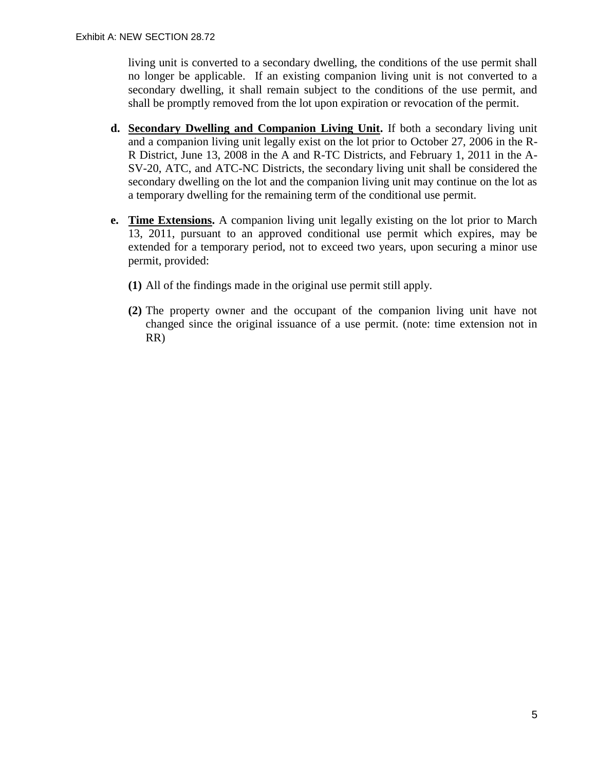living unit is converted to a secondary dwelling, the conditions of the use permit shall no longer be applicable. If an existing companion living unit is not converted to a secondary dwelling, it shall remain subject to the conditions of the use permit, and shall be promptly removed from the lot upon expiration or revocation of the permit.

- **d. Secondary Dwelling and Companion Living Unit.** If both a secondary living unit and a companion living unit legally exist on the lot prior to October 27, 2006 in the R-R District, June 13, 2008 in the A and R-TC Districts, and February 1, 2011 in the A-SV-20, ATC, and ATC-NC Districts, the secondary living unit shall be considered the secondary dwelling on the lot and the companion living unit may continue on the lot as a temporary dwelling for the remaining term of the conditional use permit.
- **e. Time Extensions.** A companion living unit legally existing on the lot prior to March 13, 2011, pursuant to an approved conditional use permit which expires, may be extended for a temporary period, not to exceed two years, upon securing a minor use permit, provided:
	- **(1)** All of the findings made in the original use permit still apply.
	- **(2)** The property owner and the occupant of the companion living unit have not changed since the original issuance of a use permit. (note: time extension not in RR)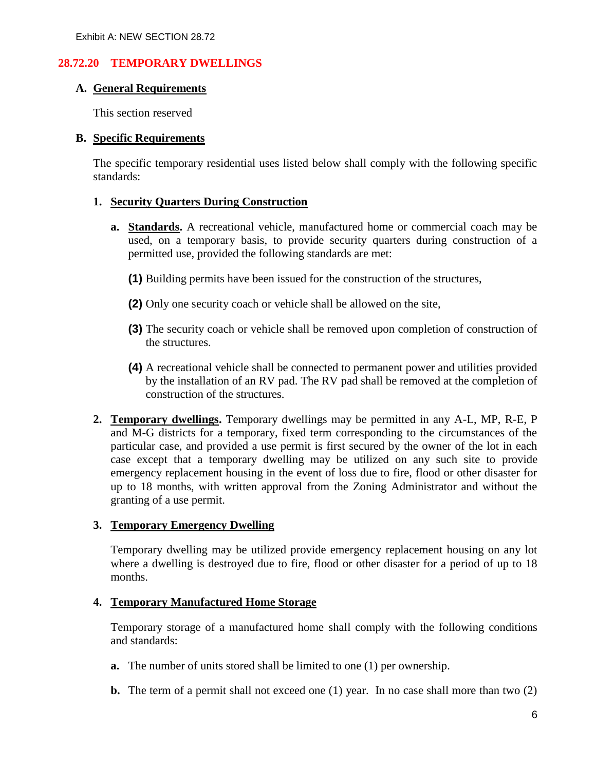## **28.72.20 TEMPORARY DWELLINGS**

#### **A. General Requirements**

This section reserved

#### **B. Specific Requirements**

The specific temporary residential uses listed below shall comply with the following specific standards:

#### **1. Security Quarters During Construction**

- **a. Standards.** A recreational vehicle, manufactured home or commercial coach may be used, on a temporary basis, to provide security quarters during construction of a permitted use, provided the following standards are met:
	- **(1)** Building permits have been issued for the construction of the structures,
	- **(2)** Only one security coach or vehicle shall be allowed on the site,
	- **(3)** The security coach or vehicle shall be removed upon completion of construction of the structures.
	- **(4)** A recreational vehicle shall be connected to permanent power and utilities provided by the installation of an RV pad. The RV pad shall be removed at the completion of construction of the structures.
- **2. Temporary dwellings.** Temporary dwellings may be permitted in any A-L, MP, R-E, P and M-G districts for a temporary, fixed term corresponding to the circumstances of the particular case, and provided a use permit is first secured by the owner of the lot in each case except that a temporary dwelling may be utilized on any such site to provide emergency replacement housing in the event of loss due to fire, flood or other disaster for up to 18 months, with written approval from the Zoning Administrator and without the granting of a use permit.

## **3. Temporary Emergency Dwelling**

Temporary dwelling may be utilized provide emergency replacement housing on any lot where a dwelling is destroyed due to fire, flood or other disaster for a period of up to 18 months.

#### **4. Temporary Manufactured Home Storage**

Temporary storage of a manufactured home shall comply with the following conditions and standards:

- **a.** The number of units stored shall be limited to one (1) per ownership.
- **b.** The term of a permit shall not exceed one (1) year. In no case shall more than two (2)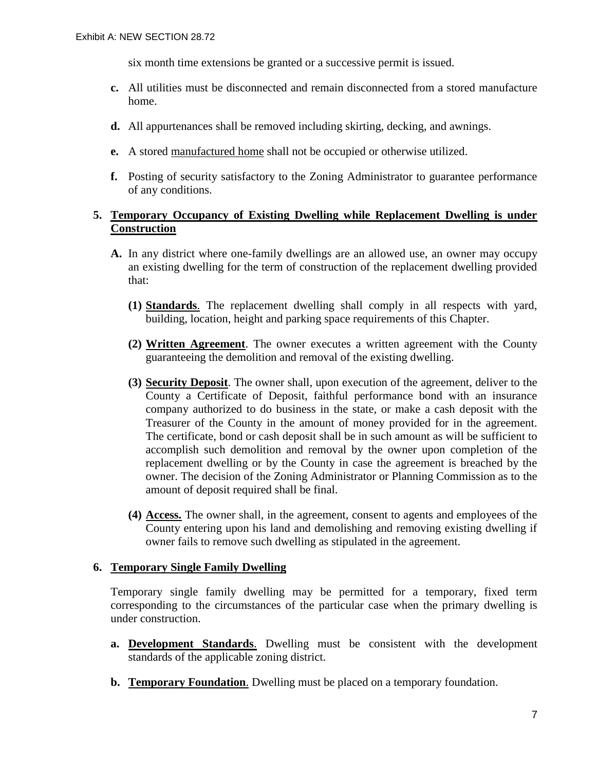six month time extensions be granted or a successive permit is issued.

- **c.** All utilities must be disconnected and remain disconnected from a stored manufacture home.
- **d.** All appurtenances shall be removed including skirting, decking, and awnings.
- **e.** A stored manufactured home shall not be occupied or otherwise utilized.
- **f.** Posting of security satisfactory to the Zoning Administrator to guarantee performance of any conditions.

## **5. Temporary Occupancy of Existing Dwelling while Replacement Dwelling is under Construction**

- **A.** In any district where one-family dwellings are an allowed use, an owner may occupy an existing dwelling for the term of construction of the replacement dwelling provided that:
	- **(1) Standards**. The replacement dwelling shall comply in all respects with yard, building, location, height and parking space requirements of this Chapter.
	- **(2) Written Agreement**. The owner executes a written agreement with the County guaranteeing the demolition and removal of the existing dwelling.
	- **(3) Security Deposit**. The owner shall, upon execution of the agreement, deliver to the County a Certificate of Deposit, faithful performance bond with an insurance company authorized to do business in the state, or make a cash deposit with the Treasurer of the County in the amount of money provided for in the agreement. The certificate, bond or cash deposit shall be in such amount as will be sufficient to accomplish such demolition and removal by the owner upon completion of the replacement dwelling or by the County in case the agreement is breached by the owner. The decision of the Zoning Administrator or Planning Commission as to the amount of deposit required shall be final.
	- **(4) Access.** The owner shall, in the agreement, consent to agents and employees of the County entering upon his land and demolishing and removing existing dwelling if owner fails to remove such dwelling as stipulated in the agreement.

#### **6. Temporary Single Family Dwelling**

Temporary single family dwelling may be permitted for a temporary, fixed term corresponding to the circumstances of the particular case when the primary dwelling is under construction.

- **a. Development Standards**. Dwelling must be consistent with the development standards of the applicable zoning district.
- **b. Temporary Foundation**. Dwelling must be placed on a temporary foundation.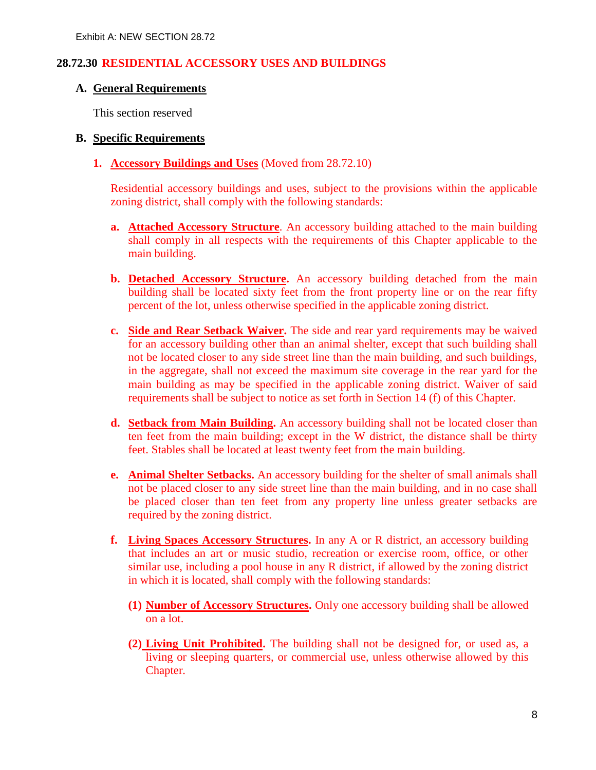## **28.72.30 RESIDENTIAL ACCESSORY USES AND BUILDINGS**

#### **A. General Requirements**

This section reserved

#### **B. Specific Requirements**

**1. Accessory Buildings and Uses** (Moved from 28.72.10)

Residential accessory buildings and uses, subject to the provisions within the applicable zoning district, shall comply with the following standards:

- **a. Attached Accessory Structure**. An accessory building attached to the main building shall comply in all respects with the requirements of this Chapter applicable to the main building.
- **b. Detached Accessory Structure.** An accessory building detached from the main building shall be located sixty feet from the front property line or on the rear fifty percent of the lot, unless otherwise specified in the applicable zoning district.
- **c. Side and Rear Setback Waiver.** The side and rear yard requirements may be waived for an accessory building other than an animal shelter, except that such building shall not be located closer to any side street line than the main building, and such buildings, in the aggregate, shall not exceed the maximum site coverage in the rear yard for the main building as may be specified in the applicable zoning district. Waiver of said requirements shall be subject to notice as set forth in Section 14 (f) of this Chapter.
- **d. Setback from Main Building.** An accessory building shall not be located closer than ten feet from the main building; except in the W district, the distance shall be thirty feet. Stables shall be located at least twenty feet from the main building.
- **e. Animal Shelter Setbacks.** An accessory building for the shelter of small animals shall not be placed closer to any side street line than the main building, and in no case shall be placed closer than ten feet from any property line unless greater setbacks are required by the zoning district.
- **f. Living Spaces Accessory Structures.** In any A or R district, an accessory building that includes an art or music studio, recreation or exercise room, office, or other similar use, including a pool house in any R district, if allowed by the zoning district in which it is located, shall comply with the following standards:
	- **(1) Number of Accessory Structures.** Only one accessory building shall be allowed on a lot.
	- **(2) Living Unit Prohibited.** The building shall not be designed for, or used as, a living or sleeping quarters, or commercial use, unless otherwise allowed by this Chapter.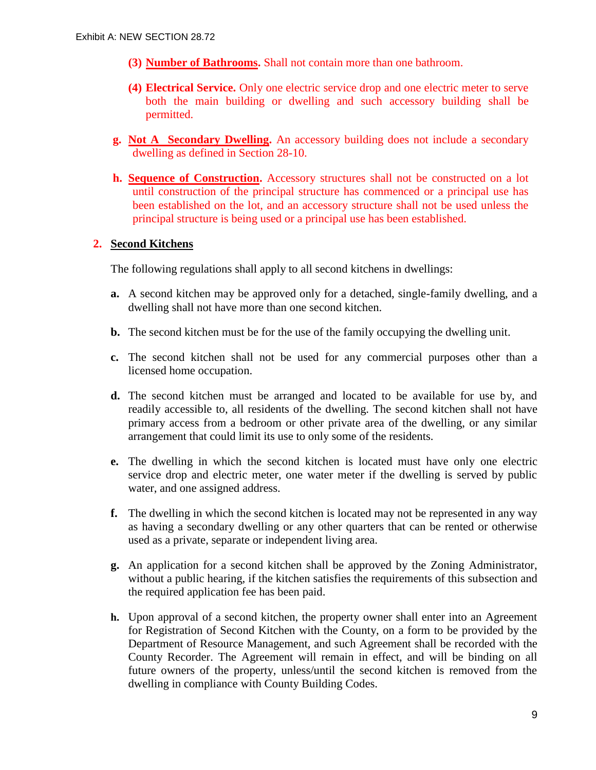- **(3) Number of Bathrooms.** Shall not contain more than one bathroom.
- **(4) Electrical Service.** Only one electric service drop and one electric meter to serve both the main building or dwelling and such accessory building shall be permitted.
- **g. Not A Secondary Dwelling.** An accessory building does not include a secondary dwelling as defined in Section 28-10.
- **h. Sequence of Construction.** Accessory structures shall not be constructed on a lot until construction of the principal structure has commenced or a principal use has been established on the lot, and an accessory structure shall not be used unless the principal structure is being used or a principal use has been established.

## **2. Second Kitchens**

The following regulations shall apply to all second kitchens in dwellings:

- **a.** A second kitchen may be approved only for a detached, single-family dwelling, and a dwelling shall not have more than one second kitchen.
- **b.** The second kitchen must be for the use of the family occupying the dwelling unit.
- **c.** The second kitchen shall not be used for any commercial purposes other than a licensed home occupation.
- **d.** The second kitchen must be arranged and located to be available for use by, and readily accessible to, all residents of the dwelling. The second kitchen shall not have primary access from a bedroom or other private area of the dwelling, or any similar arrangement that could limit its use to only some of the residents.
- **e.** The dwelling in which the second kitchen is located must have only one electric service drop and electric meter, one water meter if the dwelling is served by public water, and one assigned address.
- **f.** The dwelling in which the second kitchen is located may not be represented in any way as having a secondary dwelling or any other quarters that can be rented or otherwise used as a private, separate or independent living area.
- **g.** An application for a second kitchen shall be approved by the Zoning Administrator, without a public hearing, if the kitchen satisfies the requirements of this subsection and the required application fee has been paid.
- **h.** Upon approval of a second kitchen, the property owner shall enter into an Agreement for Registration of Second Kitchen with the County, on a form to be provided by the Department of Resource Management, and such Agreement shall be recorded with the County Recorder. The Agreement will remain in effect, and will be binding on all future owners of the property, unless/until the second kitchen is removed from the dwelling in compliance with County Building Codes.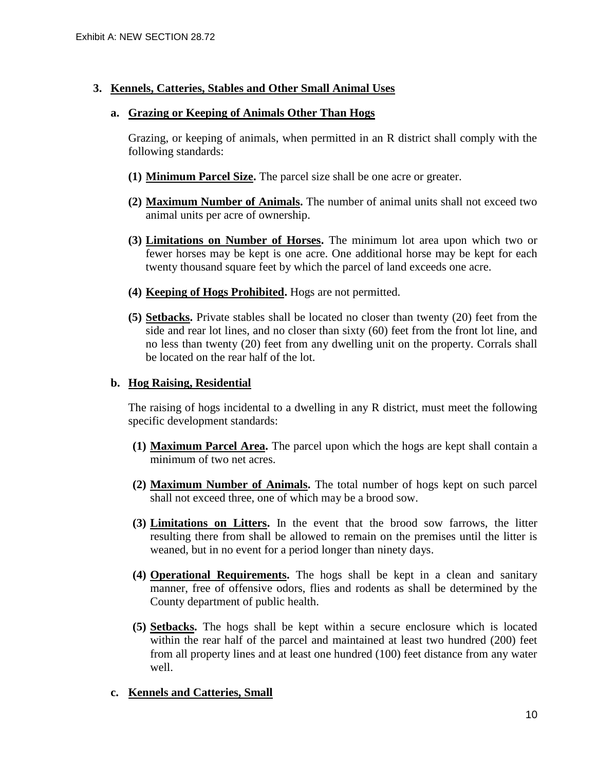## **3. Kennels, Catteries, Stables and Other Small Animal Uses**

#### **a. Grazing or Keeping of Animals Other Than Hogs**

Grazing, or keeping of animals, when permitted in an R district shall comply with the following standards:

- **(1) Minimum Parcel Size.** The parcel size shall be one acre or greater.
- **(2) Maximum Number of Animals.** The number of animal units shall not exceed two animal units per acre of ownership.
- **(3) Limitations on Number of Horses.** The minimum lot area upon which two or fewer horses may be kept is one acre. One additional horse may be kept for each twenty thousand square feet by which the parcel of land exceeds one acre.
- **(4) Keeping of Hogs Prohibited.** Hogs are not permitted.
- **(5) Setbacks.** Private stables shall be located no closer than twenty (20) feet from the side and rear lot lines, and no closer than sixty (60) feet from the front lot line, and no less than twenty (20) feet from any dwelling unit on the property. Corrals shall be located on the rear half of the lot.

#### **b. Hog Raising, Residential**

The raising of hogs incidental to a dwelling in any R district, must meet the following specific development standards:

- **(1) Maximum Parcel Area.** The parcel upon which the hogs are kept shall contain a minimum of two net acres.
- **(2) Maximum Number of Animals.** The total number of hogs kept on such parcel shall not exceed three, one of which may be a brood sow.
- **(3) Limitations on Litters.** In the event that the brood sow farrows, the litter resulting there from shall be allowed to remain on the premises until the litter is weaned, but in no event for a period longer than ninety days.
- **(4) Operational Requirements.** The hogs shall be kept in a clean and sanitary manner, free of offensive odors, flies and rodents as shall be determined by the County department of public health.
- **(5) Setbacks.** The hogs shall be kept within a secure enclosure which is located within the rear half of the parcel and maintained at least two hundred (200) feet from all property lines and at least one hundred (100) feet distance from any water well.

## **c. Kennels and Catteries, Small**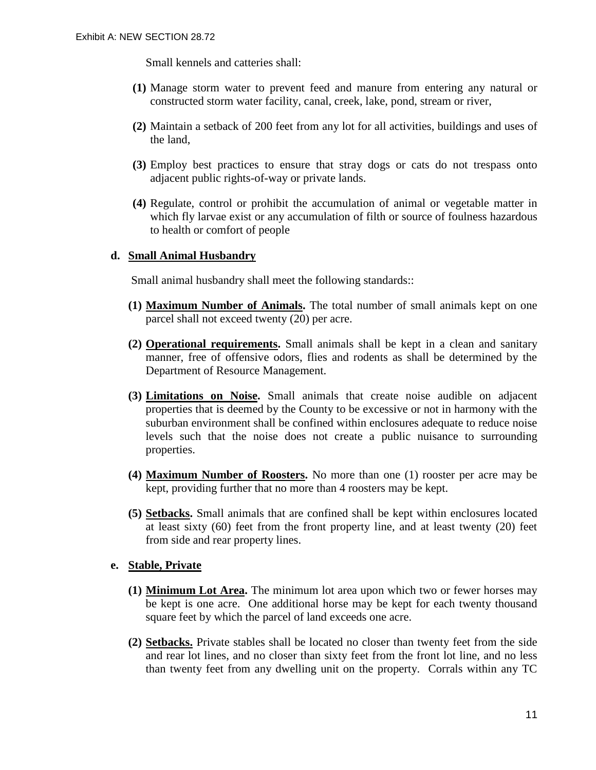Small kennels and catteries shall:

- **(1)** Manage storm water to prevent feed and manure from entering any natural or constructed storm water facility, canal, creek, lake, pond, stream or river,
- **(2)** Maintain a setback of 200 feet from any lot for all activities, buildings and uses of the land,
- **(3)** Employ best practices to ensure that stray dogs or cats do not trespass onto adjacent public rights-of-way or private lands.
- **(4)** Regulate, control or prohibit the accumulation of animal or vegetable matter in which fly larvae exist or any accumulation of filth or source of foulness hazardous to health or comfort of people

#### **d. Small Animal Husbandry**

Small animal husbandry shall meet the following standards::

- **(1) Maximum Number of Animals.** The total number of small animals kept on one parcel shall not exceed twenty (20) per acre.
- **(2) Operational requirements.** Small animals shall be kept in a clean and sanitary manner, free of offensive odors, flies and rodents as shall be determined by the Department of Resource Management.
- **(3) Limitations on Noise.** Small animals that create noise audible on adjacent properties that is deemed by the County to be excessive or not in harmony with the suburban environment shall be confined within enclosures adequate to reduce noise levels such that the noise does not create a public nuisance to surrounding properties.
- **(4) Maximum Number of Roosters.** No more than one (1) rooster per acre may be kept, providing further that no more than 4 roosters may be kept.
- **(5) Setbacks.** Small animals that are confined shall be kept within enclosures located at least sixty (60) feet from the front property line, and at least twenty (20) feet from side and rear property lines.

## **e. Stable, Private**

- **(1) Minimum Lot Area.** The minimum lot area upon which two or fewer horses may be kept is one acre. One additional horse may be kept for each twenty thousand square feet by which the parcel of land exceeds one acre.
- **(2) Setbacks.** Private stables shall be located no closer than twenty feet from the side and rear lot lines, and no closer than sixty feet from the front lot line, and no less than twenty feet from any dwelling unit on the property. Corrals within any TC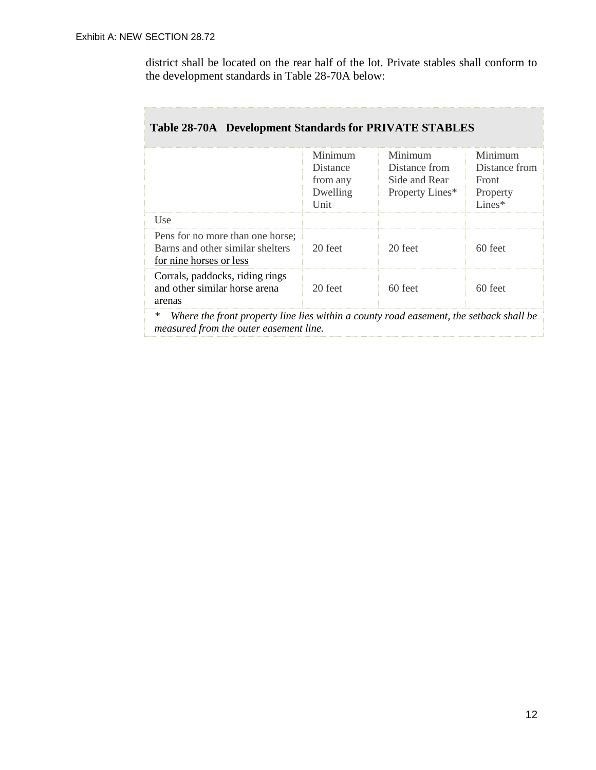district shall be located on the rear half of the lot. Private stables shall conform to the development standards in Table 28-70A below:

|                                                                                                  | Minimum<br>Distance<br>from any<br>Dwelling<br>Unit | Minimum<br>Distance from<br>Side and Rear<br>Property Lines* | Minimum<br>Distance from<br>Front<br>Property<br>$Lines*$ |
|--------------------------------------------------------------------------------------------------|-----------------------------------------------------|--------------------------------------------------------------|-----------------------------------------------------------|
| Use                                                                                              |                                                     |                                                              |                                                           |
| Pens for no more than one horse;<br>Barns and other similar shelters<br>for nine horses or less  | 20 feet                                             | 20 feet                                                      | $60$ feet                                                 |
| Corrals, paddocks, riding rings<br>and other similar horse arena<br>arenas                       | 20 feet                                             | 60 feet                                                      | $60$ feet                                                 |
| $\ast$<br>Where the front property line lies within a county road easement, the sethack shall be |                                                     |                                                              |                                                           |

## **Table 28-70A Development Standards for PRIVATE STABLES**

*\* Where the front property line lies within a county road easement, the setback shall be measured from the outer easement line.*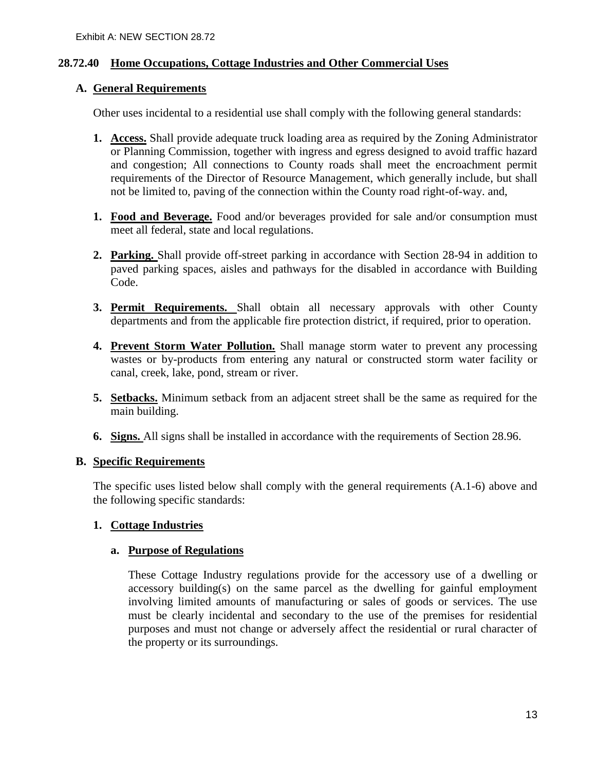## **28.72.40 Home Occupations, Cottage Industries and Other Commercial Uses**

## **A. General Requirements**

Other uses incidental to a residential use shall comply with the following general standards:

- **1. Access.** Shall provide adequate truck loading area as required by the Zoning Administrator or Planning Commission, together with ingress and egress designed to avoid traffic hazard and congestion; All connections to County roads shall meet the encroachment permit requirements of the Director of Resource Management, which generally include, but shall not be limited to, paving of the connection within the County road right-of-way. and,
- **1. Food and Beverage.** Food and/or beverages provided for sale and/or consumption must meet all federal, state and local regulations.
- **2. Parking.** Shall provide off-street parking in accordance with Section 28-94 in addition to paved parking spaces, aisles and pathways for the disabled in accordance with Building Code.
- **3. Permit Requirements.** Shall obtain all necessary approvals with other County departments and from the applicable fire protection district, if required, prior to operation.
- **4. Prevent Storm Water Pollution.** Shall manage storm water to prevent any processing wastes or by-products from entering any natural or constructed storm water facility or canal, creek, lake, pond, stream or river.
- **5. Setbacks.** Minimum setback from an adjacent street shall be the same as required for the main building.
- **6. Signs.** All signs shall be installed in accordance with the requirements of Section 28.96.

## **B. Specific Requirements**

The specific uses listed below shall comply with the general requirements (A.1-6) above and the following specific standards:

## **1. Cottage Industries**

## **a. Purpose of Regulations**

These Cottage Industry regulations provide for the accessory use of a dwelling or accessory building(s) on the same parcel as the dwelling for gainful employment involving limited amounts of manufacturing or sales of goods or services. The use must be clearly incidental and secondary to the use of the premises for residential purposes and must not change or adversely affect the residential or rural character of the property or its surroundings.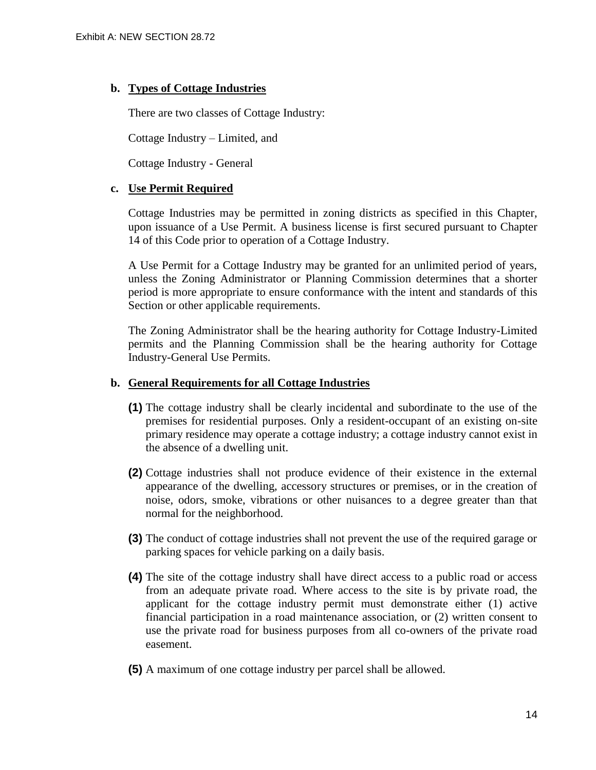## **b. Types of Cottage Industries**

There are two classes of Cottage Industry:

Cottage Industry – Limited, and

Cottage Industry - General

#### **c. Use Permit Required**

Cottage Industries may be permitted in zoning districts as specified in this Chapter, upon issuance of a Use Permit. A business license is first secured pursuant to Chapter 14 of this Code prior to operation of a Cottage Industry.

A Use Permit for a Cottage Industry may be granted for an unlimited period of years, unless the Zoning Administrator or Planning Commission determines that a shorter period is more appropriate to ensure conformance with the intent and standards of this Section or other applicable requirements.

The Zoning Administrator shall be the hearing authority for Cottage Industry-Limited permits and the Planning Commission shall be the hearing authority for Cottage Industry-General Use Permits.

## **b. General Requirements for all Cottage Industries**

- **(1)** The cottage industry shall be clearly incidental and subordinate to the use of the premises for residential purposes. Only a resident-occupant of an existing on-site primary residence may operate a cottage industry; a cottage industry cannot exist in the absence of a dwelling unit.
- **(2)** Cottage industries shall not produce evidence of their existence in the external appearance of the dwelling, accessory structures or premises, or in the creation of noise, odors, smoke, vibrations or other nuisances to a degree greater than that normal for the neighborhood.
- **(3)** The conduct of cottage industries shall not prevent the use of the required garage or parking spaces for vehicle parking on a daily basis.
- **(4)** The site of the cottage industry shall have direct access to a public road or access from an adequate private road. Where access to the site is by private road, the applicant for the cottage industry permit must demonstrate either (1) active financial participation in a road maintenance association, or (2) written consent to use the private road for business purposes from all co-owners of the private road easement.
- **(5)** A maximum of one cottage industry per parcel shall be allowed.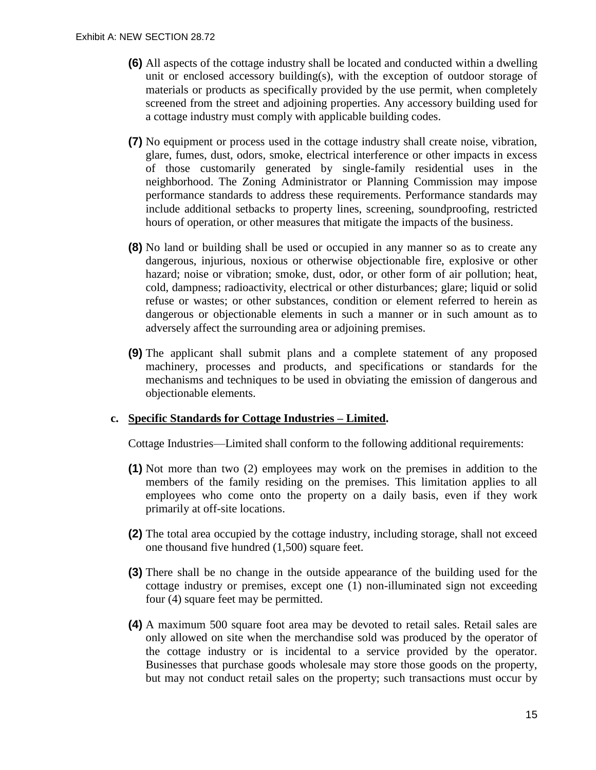- **(6)** All aspects of the cottage industry shall be located and conducted within a dwelling unit or enclosed accessory building(s), with the exception of outdoor storage of materials or products as specifically provided by the use permit, when completely screened from the street and adjoining properties. Any accessory building used for a cottage industry must comply with applicable building codes.
- **(7)** No equipment or process used in the cottage industry shall create noise, vibration, glare, fumes, dust, odors, smoke, electrical interference or other impacts in excess of those customarily generated by single-family residential uses in the neighborhood. The Zoning Administrator or Planning Commission may impose performance standards to address these requirements. Performance standards may include additional setbacks to property lines, screening, soundproofing, restricted hours of operation, or other measures that mitigate the impacts of the business.
- **(8)** No land or building shall be used or occupied in any manner so as to create any dangerous, injurious, noxious or otherwise objectionable fire, explosive or other hazard; noise or vibration; smoke, dust, odor, or other form of air pollution; heat, cold, dampness; radioactivity, electrical or other disturbances; glare; liquid or solid refuse or wastes; or other substances, condition or element referred to herein as dangerous or objectionable elements in such a manner or in such amount as to adversely affect the surrounding area or adjoining premises.
- **(9)** The applicant shall submit plans and a complete statement of any proposed machinery, processes and products, and specifications or standards for the mechanisms and techniques to be used in obviating the emission of dangerous and objectionable elements.

## **c. Specific Standards for Cottage Industries – Limited.**

Cottage Industries—Limited shall conform to the following additional requirements:

- **(1)** Not more than two (2) employees may work on the premises in addition to the members of the family residing on the premises. This limitation applies to all employees who come onto the property on a daily basis, even if they work primarily at off-site locations.
- **(2)** The total area occupied by the cottage industry, including storage, shall not exceed one thousand five hundred (1,500) square feet.
- **(3)** There shall be no change in the outside appearance of the building used for the cottage industry or premises, except one (1) non-illuminated sign not exceeding four (4) square feet may be permitted.
- **(4)** A maximum 500 square foot area may be devoted to retail sales. Retail sales are only allowed on site when the merchandise sold was produced by the operator of the cottage industry or is incidental to a service provided by the operator. Businesses that purchase goods wholesale may store those goods on the property, but may not conduct retail sales on the property; such transactions must occur by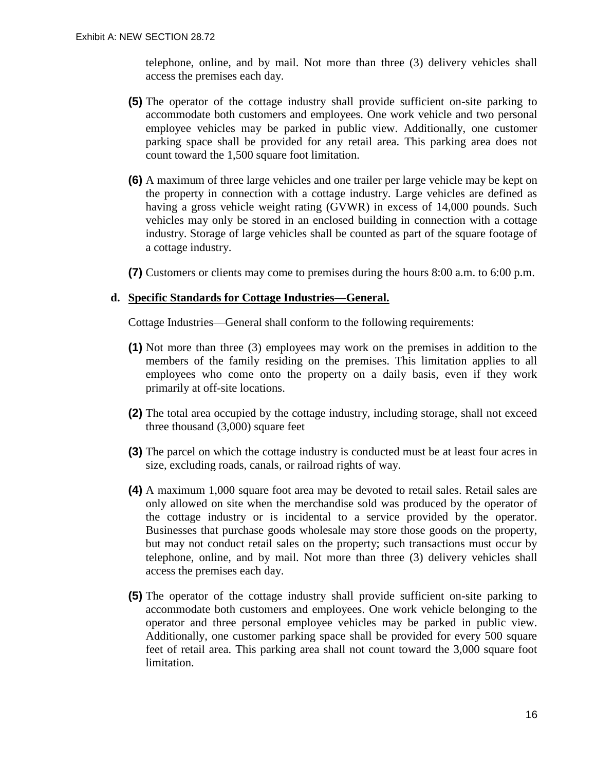telephone, online, and by mail. Not more than three (3) delivery vehicles shall access the premises each day.

- **(5)** The operator of the cottage industry shall provide sufficient on-site parking to accommodate both customers and employees. One work vehicle and two personal employee vehicles may be parked in public view. Additionally, one customer parking space shall be provided for any retail area. This parking area does not count toward the 1,500 square foot limitation.
- **(6)** A maximum of three large vehicles and one trailer per large vehicle may be kept on the property in connection with a cottage industry. Large vehicles are defined as having a gross vehicle weight rating (GVWR) in excess of 14,000 pounds. Such vehicles may only be stored in an enclosed building in connection with a cottage industry. Storage of large vehicles shall be counted as part of the square footage of a cottage industry.
- **(7)** Customers or clients may come to premises during the hours 8:00 a.m. to 6:00 p.m.

#### **d. Specific Standards for Cottage Industries—General.**

Cottage Industries—General shall conform to the following requirements:

- **(1)** Not more than three (3) employees may work on the premises in addition to the members of the family residing on the premises. This limitation applies to all employees who come onto the property on a daily basis, even if they work primarily at off-site locations.
- **(2)** The total area occupied by the cottage industry, including storage, shall not exceed three thousand (3,000) square feet
- **(3)** The parcel on which the cottage industry is conducted must be at least four acres in size, excluding roads, canals, or railroad rights of way.
- **(4)** A maximum 1,000 square foot area may be devoted to retail sales. Retail sales are only allowed on site when the merchandise sold was produced by the operator of the cottage industry or is incidental to a service provided by the operator. Businesses that purchase goods wholesale may store those goods on the property, but may not conduct retail sales on the property; such transactions must occur by telephone, online, and by mail. Not more than three (3) delivery vehicles shall access the premises each day.
- **(5)** The operator of the cottage industry shall provide sufficient on-site parking to accommodate both customers and employees. One work vehicle belonging to the operator and three personal employee vehicles may be parked in public view. Additionally, one customer parking space shall be provided for every 500 square feet of retail area. This parking area shall not count toward the 3,000 square foot limitation.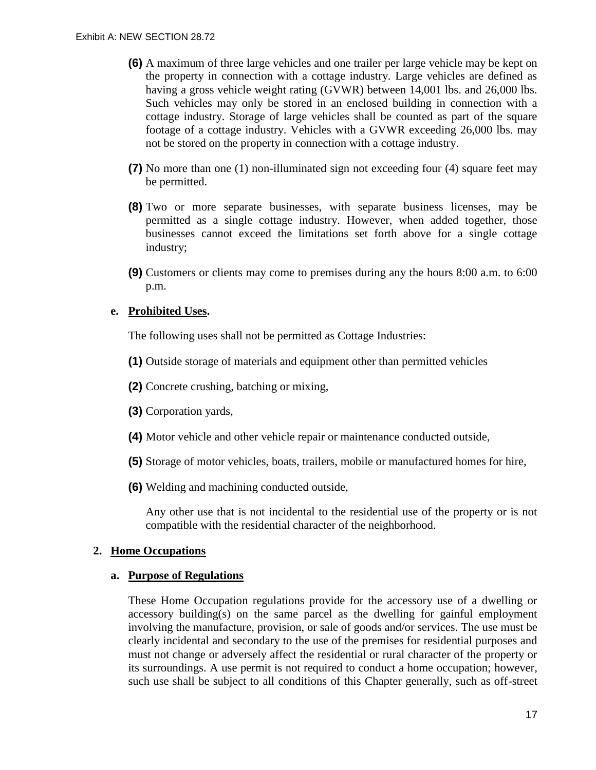- **(6)** A maximum of three large vehicles and one trailer per large vehicle may be kept on the property in connection with a cottage industry. Large vehicles are defined as having a gross vehicle weight rating (GVWR) between 14,001 lbs. and 26,000 lbs. Such vehicles may only be stored in an enclosed building in connection with a cottage industry. Storage of large vehicles shall be counted as part of the square footage of a cottage industry. Vehicles with a GVWR exceeding 26,000 lbs. may not be stored on the property in connection with a cottage industry.
- **(7)** No more than one (1) non-illuminated sign not exceeding four (4) square feet may be permitted.
- **(8)** Two or more separate businesses, with separate business licenses, may be permitted as a single cottage industry. However, when added together, those businesses cannot exceed the limitations set forth above for a single cottage industry;
- **(9)** Customers or clients may come to premises during any the hours 8:00 a.m. to 6:00 p.m.

#### **e. Prohibited Uses.**

The following uses shall not be permitted as Cottage Industries:

- **(1)** Outside storage of materials and equipment other than permitted vehicles
- **(2)** Concrete crushing, batching or mixing,
- **(3)** Corporation yards,
- **(4)** Motor vehicle and other vehicle repair or maintenance conducted outside,
- **(5)** Storage of motor vehicles, boats, trailers, mobile or manufactured homes for hire,
- **(6)** Welding and machining conducted outside,

Any other use that is not incidental to the residential use of the property or is not compatible with the residential character of the neighborhood.

## **2. Home Occupations**

#### **a. Purpose of Regulations**

These Home Occupation regulations provide for the accessory use of a dwelling or accessory building(s) on the same parcel as the dwelling for gainful employment involving the manufacture, provision, or sale of goods and/or services. The use must be clearly incidental and secondary to the use of the premises for residential purposes and must not change or adversely affect the residential or rural character of the property or its surroundings. A use permit is not required to conduct a home occupation; however, such use shall be subject to all conditions of this Chapter generally, such as off-street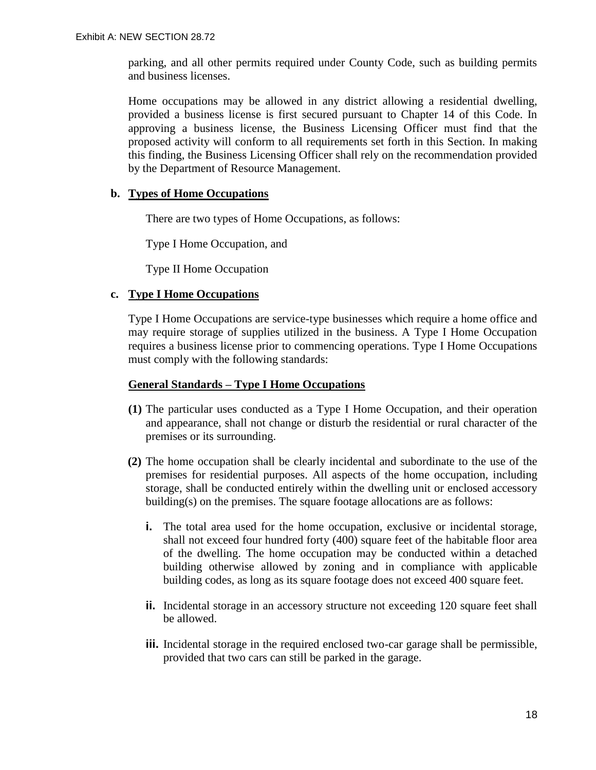parking, and all other permits required under County Code, such as building permits and business licenses.

Home occupations may be allowed in any district allowing a residential dwelling, provided a business license is first secured pursuant to Chapter 14 of this Code. In approving a business license, the Business Licensing Officer must find that the proposed activity will conform to all requirements set forth in this Section. In making this finding, the Business Licensing Officer shall rely on the recommendation provided by the Department of Resource Management.

#### **b. Types of Home Occupations**

There are two types of Home Occupations, as follows:

Type I Home Occupation, and

Type II Home Occupation

## **c. Type I Home Occupations**

Type I Home Occupations are service-type businesses which require a home office and may require storage of supplies utilized in the business. A Type I Home Occupation requires a business license prior to commencing operations. Type I Home Occupations must comply with the following standards:

#### **General Standards – Type I Home Occupations**

- **(1)** The particular uses conducted as a Type I Home Occupation, and their operation and appearance, shall not change or disturb the residential or rural character of the premises or its surrounding.
- **(2)** The home occupation shall be clearly incidental and subordinate to the use of the premises for residential purposes. All aspects of the home occupation, including storage, shall be conducted entirely within the dwelling unit or enclosed accessory building(s) on the premises. The square footage allocations are as follows:
	- **i.** The total area used for the home occupation, exclusive or incidental storage, shall not exceed four hundred forty (400) square feet of the habitable floor area of the dwelling. The home occupation may be conducted within a detached building otherwise allowed by zoning and in compliance with applicable building codes, as long as its square footage does not exceed 400 square feet.
	- **ii.** Incidental storage in an accessory structure not exceeding 120 square feet shall be allowed.
	- **iii.** Incidental storage in the required enclosed two-car garage shall be permissible, provided that two cars can still be parked in the garage.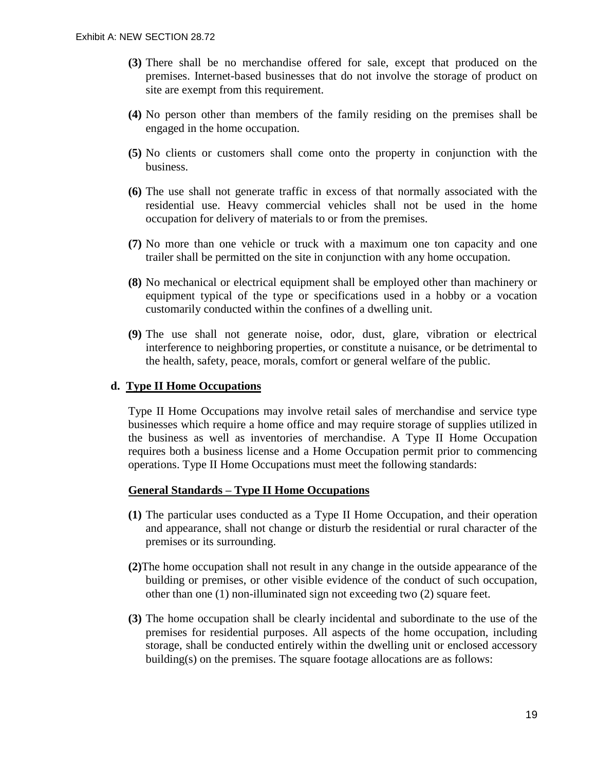- **(3)** There shall be no merchandise offered for sale, except that produced on the premises. Internet-based businesses that do not involve the storage of product on site are exempt from this requirement.
- **(4)** No person other than members of the family residing on the premises shall be engaged in the home occupation.
- **(5)** No clients or customers shall come onto the property in conjunction with the business.
- **(6)** The use shall not generate traffic in excess of that normally associated with the residential use. Heavy commercial vehicles shall not be used in the home occupation for delivery of materials to or from the premises.
- **(7)** No more than one vehicle or truck with a maximum one ton capacity and one trailer shall be permitted on the site in conjunction with any home occupation.
- **(8)** No mechanical or electrical equipment shall be employed other than machinery or equipment typical of the type or specifications used in a hobby or a vocation customarily conducted within the confines of a dwelling unit.
- **(9)** The use shall not generate noise, odor, dust, glare, vibration or electrical interference to neighboring properties, or constitute a nuisance, or be detrimental to the health, safety, peace, morals, comfort or general welfare of the public.

## **d. Type II Home Occupations**

Type II Home Occupations may involve retail sales of merchandise and service type businesses which require a home office and may require storage of supplies utilized in the business as well as inventories of merchandise. A Type II Home Occupation requires both a business license and a Home Occupation permit prior to commencing operations. Type II Home Occupations must meet the following standards:

#### **General Standards – Type II Home Occupations**

- **(1)** The particular uses conducted as a Type II Home Occupation, and their operation and appearance, shall not change or disturb the residential or rural character of the premises or its surrounding.
- **(2)**The home occupation shall not result in any change in the outside appearance of the building or premises, or other visible evidence of the conduct of such occupation, other than one (1) non-illuminated sign not exceeding two (2) square feet.
- **(3)** The home occupation shall be clearly incidental and subordinate to the use of the premises for residential purposes. All aspects of the home occupation, including storage, shall be conducted entirely within the dwelling unit or enclosed accessory building(s) on the premises. The square footage allocations are as follows: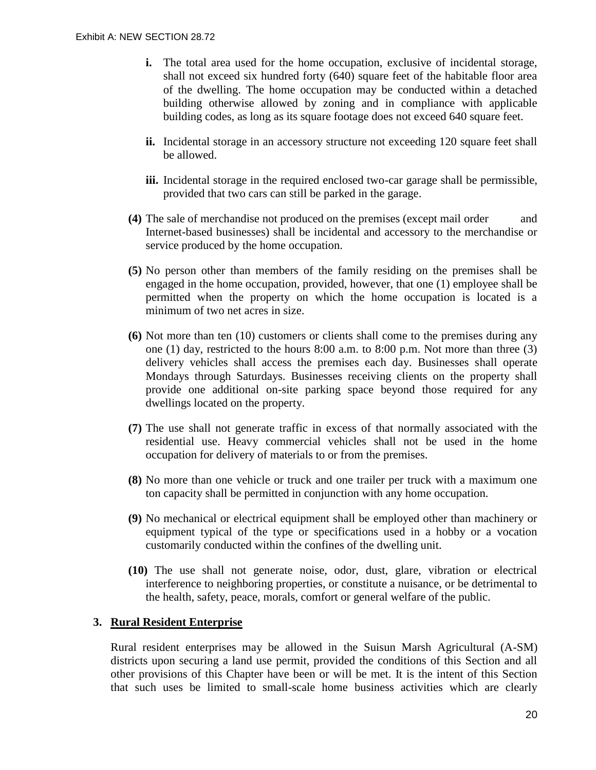- **i.** The total area used for the home occupation, exclusive of incidental storage, shall not exceed six hundred forty (640) square feet of the habitable floor area of the dwelling. The home occupation may be conducted within a detached building otherwise allowed by zoning and in compliance with applicable building codes, as long as its square footage does not exceed 640 square feet.
- **ii.** Incidental storage in an accessory structure not exceeding 120 square feet shall be allowed.
- **iii.** Incidental storage in the required enclosed two-car garage shall be permissible, provided that two cars can still be parked in the garage.
- **(4)** The sale of merchandise not produced on the premises (except mail order and Internet-based businesses) shall be incidental and accessory to the merchandise or service produced by the home occupation.
- **(5)** No person other than members of the family residing on the premises shall be engaged in the home occupation, provided, however, that one (1) employee shall be permitted when the property on which the home occupation is located is a minimum of two net acres in size.
- **(6)** Not more than ten (10) customers or clients shall come to the premises during any one (1) day, restricted to the hours 8:00 a.m. to 8:00 p.m. Not more than three (3) delivery vehicles shall access the premises each day. Businesses shall operate Mondays through Saturdays. Businesses receiving clients on the property shall provide one additional on-site parking space beyond those required for any dwellings located on the property.
- **(7)** The use shall not generate traffic in excess of that normally associated with the residential use. Heavy commercial vehicles shall not be used in the home occupation for delivery of materials to or from the premises.
- **(8)** No more than one vehicle or truck and one trailer per truck with a maximum one ton capacity shall be permitted in conjunction with any home occupation.
- **(9)** No mechanical or electrical equipment shall be employed other than machinery or equipment typical of the type or specifications used in a hobby or a vocation customarily conducted within the confines of the dwelling unit.
- **(10)** The use shall not generate noise, odor, dust, glare, vibration or electrical interference to neighboring properties, or constitute a nuisance, or be detrimental to the health, safety, peace, morals, comfort or general welfare of the public.

## **3. Rural Resident Enterprise**

Rural resident enterprises may be allowed in the Suisun Marsh Agricultural (A-SM) districts upon securing a land use permit, provided the conditions of this Section and all other provisions of this Chapter have been or will be met. It is the intent of this Section that such uses be limited to small-scale home business activities which are clearly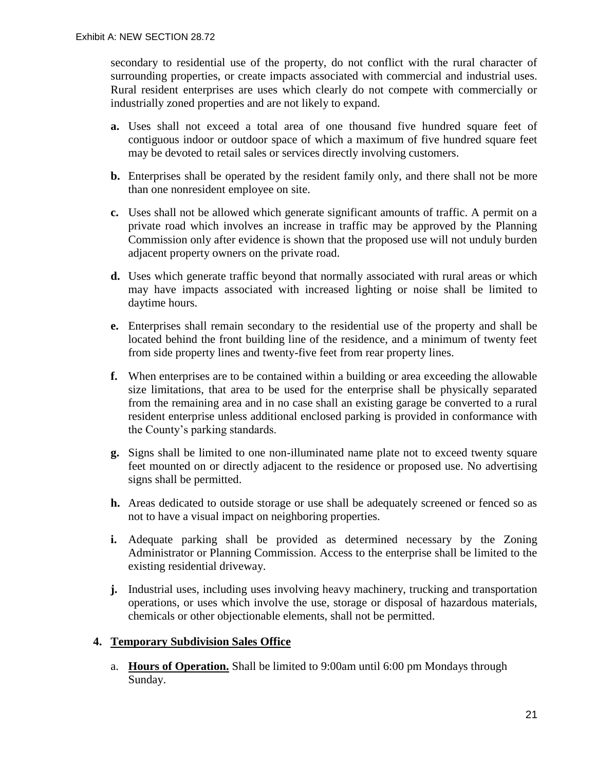secondary to residential use of the property, do not conflict with the rural character of surrounding properties, or create impacts associated with commercial and industrial uses. Rural resident enterprises are uses which clearly do not compete with commercially or industrially zoned properties and are not likely to expand.

- **a.** Uses shall not exceed a total area of one thousand five hundred square feet of contiguous indoor or outdoor space of which a maximum of five hundred square feet may be devoted to retail sales or services directly involving customers.
- **b.** Enterprises shall be operated by the resident family only, and there shall not be more than one nonresident employee on site.
- **c.** Uses shall not be allowed which generate significant amounts of traffic. A permit on a private road which involves an increase in traffic may be approved by the Planning Commission only after evidence is shown that the proposed use will not unduly burden adjacent property owners on the private road.
- **d.** Uses which generate traffic beyond that normally associated with rural areas or which may have impacts associated with increased lighting or noise shall be limited to daytime hours.
- **e.** Enterprises shall remain secondary to the residential use of the property and shall be located behind the front building line of the residence, and a minimum of twenty feet from side property lines and twenty-five feet from rear property lines.
- **f.** When enterprises are to be contained within a building or area exceeding the allowable size limitations, that area to be used for the enterprise shall be physically separated from the remaining area and in no case shall an existing garage be converted to a rural resident enterprise unless additional enclosed parking is provided in conformance with the County's parking standards.
- **g.** Signs shall be limited to one non-illuminated name plate not to exceed twenty square feet mounted on or directly adjacent to the residence or proposed use. No advertising signs shall be permitted.
- **h.** Areas dedicated to outside storage or use shall be adequately screened or fenced so as not to have a visual impact on neighboring properties.
- **i.** Adequate parking shall be provided as determined necessary by the Zoning Administrator or Planning Commission. Access to the enterprise shall be limited to the existing residential driveway.
- **j.** Industrial uses, including uses involving heavy machinery, trucking and transportation operations, or uses which involve the use, storage or disposal of hazardous materials, chemicals or other objectionable elements, shall not be permitted.

## **4. Temporary Subdivision Sales Office**

a. **Hours of Operation.** Shall be limited to 9:00am until 6:00 pm Mondays through Sunday.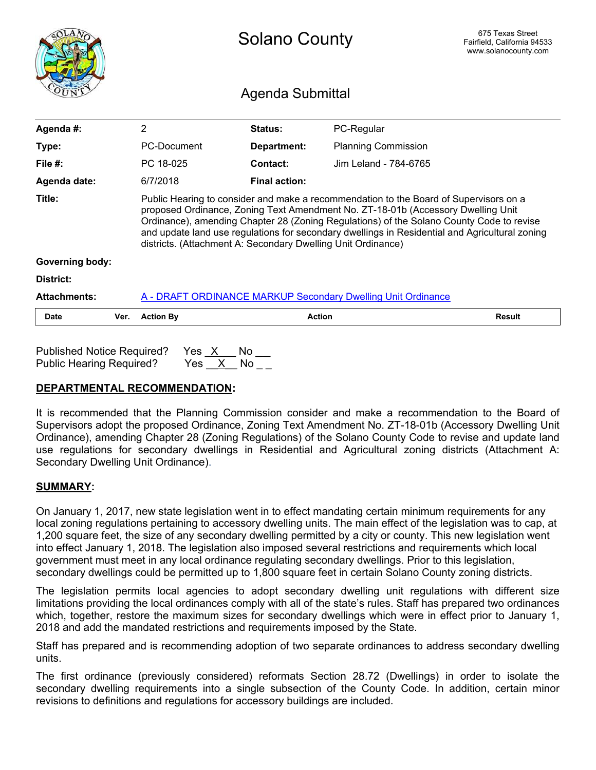<span id="page-41-0"></span>

|                        |      | <b>Solano County</b>                                                                                                                                                                                                                                                                                                                                                                                                                    |                  | 675 Texas Street<br>Fairfield, California 94533<br>www.solanocounty.com |               |
|------------------------|------|-----------------------------------------------------------------------------------------------------------------------------------------------------------------------------------------------------------------------------------------------------------------------------------------------------------------------------------------------------------------------------------------------------------------------------------------|------------------|-------------------------------------------------------------------------|---------------|
|                        |      |                                                                                                                                                                                                                                                                                                                                                                                                                                         | Agenda Submittal |                                                                         |               |
| Agenda #:              |      | 2                                                                                                                                                                                                                                                                                                                                                                                                                                       | Status:          | PC-Regular                                                              |               |
| Type:                  |      | PC-Document                                                                                                                                                                                                                                                                                                                                                                                                                             | Department:      | <b>Planning Commission</b>                                              |               |
| File $#$ :             |      | PC 18-025                                                                                                                                                                                                                                                                                                                                                                                                                               | Contact:         | Jim Leland - 784-6765                                                   |               |
| Agenda date:           |      | 6/7/2018                                                                                                                                                                                                                                                                                                                                                                                                                                | Final action:    |                                                                         |               |
| Title:                 |      | Public Hearing to consider and make a recommendation to the Board of Supervisors on a<br>proposed Ordinance, Zoning Text Amendment No. ZT-18-01b (Accessory Dwelling Unit<br>Ordinance), amending Chapter 28 (Zoning Regulations) of the Solano County Code to revise<br>and update land use regulations for secondary dwellings in Residential and Agricultural zoning<br>districts. (Attachment A: Secondary Dwelling Unit Ordinance) |                  |                                                                         |               |
| <b>Governing body:</b> |      |                                                                                                                                                                                                                                                                                                                                                                                                                                         |                  |                                                                         |               |
| District:              |      |                                                                                                                                                                                                                                                                                                                                                                                                                                         |                  |                                                                         |               |
| <b>Attachments:</b>    |      |                                                                                                                                                                                                                                                                                                                                                                                                                                         |                  | A - DRAFT ORDINANCE MARKUP Secondary Dwelling Unit Ordinance            |               |
| <b>Date</b>            | Ver. | <b>Action By</b>                                                                                                                                                                                                                                                                                                                                                                                                                        | <b>Action</b>    |                                                                         | <b>Result</b> |
|                        |      |                                                                                                                                                                                                                                                                                                                                                                                                                                         |                  |                                                                         |               |

| Published Notice Required?      | Yes X |          | — No |  |
|---------------------------------|-------|----------|------|--|
| <b>Public Hearing Required?</b> |       | Yes X No |      |  |

## DEPARTMENTAL RECOMMENDATION:

It is recommended that the Planning Commission consider and make a recommendation to the Board of Supervisors adopt the proposed Ordinance, Zoning Text Amendment No. ZT-18-01b (Accessory Dwelling Unit Ordinance), amending Chapter 28 (Zoning Regulations) of the Solano County Code to revise and update land use regulations for secondary dwellings in Residential and Agricultural zoning districts (Attachment A: Secondary Dwelling Unit Ordinance).

## SUMMARY:

On January 1, 2017, new state legislation went in to effect mandating certain minimum requirements for any local zoning regulations pertaining to accessory dwelling units. The main effect of the legislation was to cap, at 1,200 square feet, the size of any secondary dwelling permitted by a city or county. This new legislation went into effect January 1, 2018. The legislation also imposed several restrictions and requirements which local government must meet in any local ordinance regulating secondary dwellings. Prior to this legislation, secondary dwellings could be permitted up to 1,800 square feet in certain Solano County zoning districts.

The legislation permits local agencies to adopt secondary dwelling unit regulations with different size limitations providing the local ordinances comply with all of the state's rules. Staff has prepared two ordinances which, together, restore the maximum sizes for secondary dwellings which were in effect prior to January 1, 2018 and add the mandated restrictions and requirements imposed by the State.

Staff has prepared and is recommending adoption of two separate ordinances to address secondary dwelling units.

The first ordinance (previously considered) reformats Section 28.72 (Dwellings) in order to isolate the secondary dwelling requirements into a single subsection of the County Code. In addition, certain minor revisions to definitions and regulations for accessory buildings are included.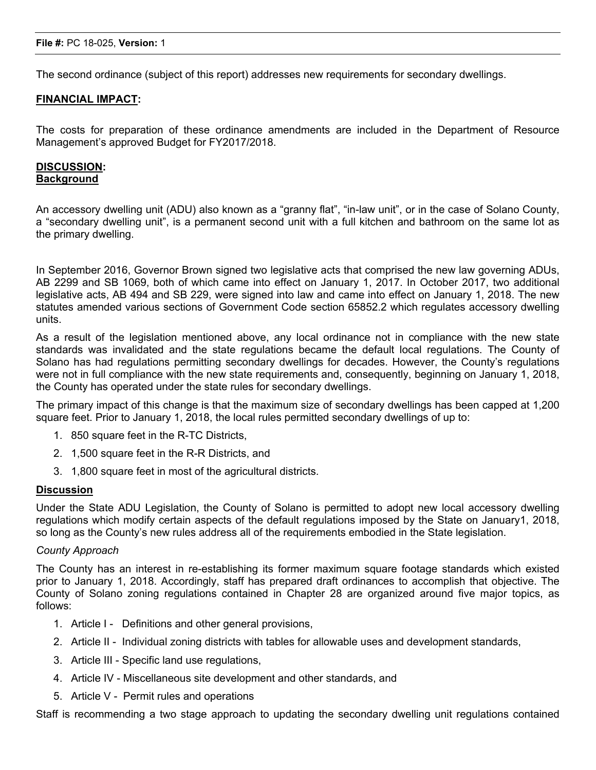The second ordinance (subject of this report) addresses new requirements for secondary dwellings.

#### FINANCIAL IMPACT:

The costs for preparation of these ordinance amendments are included in the Department of Resource Management's approved Budget for FY2017/2018.

#### DISCUSSION: **Background**

An accessory dwelling unit (ADU) also known as a "granny flat", "in-law unit", or in the case of Solano County, a "secondary dwelling unit", is a permanent second unit with a full kitchen and bathroom on the same lot as the primary dwelling.

In September 2016, Governor Brown signed two legislative acts that comprised the new law governing ADUs, AB 2299 and SB 1069, both of which came into effect on January 1, 2017. In October 2017, two additional legislative acts, AB 494 and SB 229, were signed into law and came into effect on January 1, 2018. The new statutes amended various sections of Government Code section 65852.2 which regulates accessory dwelling units.

As a result of the legislation mentioned above, any local ordinance not in compliance with the new state standards was invalidated and the state regulations became the default local regulations. The County of Solano has had regulations permitting secondary dwellings for decades. However, the County's regulations were not in full compliance with the new state requirements and, consequently, beginning on January 1, 2018, the County has operated under the state rules for secondary dwellings.

The primary impact of this change is that the maximum size of secondary dwellings has been capped at 1,200 square feet. Prior to January 1, 2018, the local rules permitted secondary dwellings of up to:

- 1. 850 square feet in the R-TC Districts,
- 2. 1,500 square feet in the R-R Districts, and
- 3. 1,800 square feet in most of the agricultural districts.

#### Discussion

Under the State ADU Legislation, the County of Solano is permitted to adopt new local accessory dwelling regulations which modify certain aspects of the default regulations imposed by the State on January1, 2018, so long as the County's new rules address all of the requirements embodied in the State legislation.

#### *County Approach*

The County has an interest in re-establishing its former maximum square footage standards which existed prior to January 1, 2018. Accordingly, staff has prepared draft ordinances to accomplish that objective. The County of Solano zoning regulations contained in Chapter 28 are organized around five major topics, as follows:

- 1. Article I Definitions and other general provisions,
- 2. Article II Individual zoning districts with tables for allowable uses and development standards,
- 3. Article III Specific land use regulations,
- 4. Article IV Miscellaneous site development and other standards, and
- 5. Article V Permit rules and operations

Staff is recommending a two stage approach to updating the secondary dwelling unit regulations contained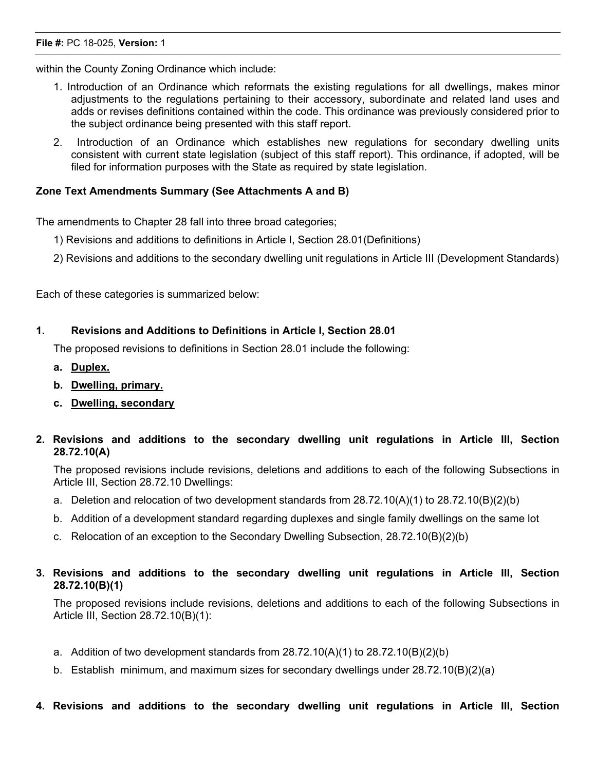#### File #: PC 18-025, Version: 1

within the County Zoning Ordinance which include:

- 1. Introduction of an Ordinance which reformats the existing regulations for all dwellings, makes minor adjustments to the regulations pertaining to their accessory, subordinate and related land uses and adds or revises definitions contained within the code. This ordinance was previously considered prior to the subject ordinance being presented with this staff report.
- 2. Introduction of an Ordinance which establishes new regulations for secondary dwelling units consistent with current state legislation (subject of this staff report). This ordinance, if adopted, will be filed for information purposes with the State as required by state legislation.

#### Zone Text Amendments Summary (See Attachments A and B)

The amendments to Chapter 28 fall into three broad categories;

- 1) Revisions and additions to definitions in Article I, Section 28.01(Definitions)
- 2) Revisions and additions to the secondary dwelling unit regulations in Article III (Development Standards)

Each of these categories is summarized below:

#### 1. Revisions and Additions to Definitions in Article I, Section 28.01

The proposed revisions to definitions in Section 28.01 include the following:

- a. Duplex.
- b. Dwelling, primary.
- c. Dwelling, secondary

## 2. Revisions and additions to the secondary dwelling unit regulations in Article III, Section 28.72.10(A)

The proposed revisions include revisions, deletions and additions to each of the following Subsections in Article III, Section 28.72.10 Dwellings:

- a. Deletion and relocation of two development standards from 28.72.10(A)(1) to 28.72.10(B)(2)(b)
- b. Addition of a development standard regarding duplexes and single family dwellings on the same lot
- c. Relocation of an exception to the Secondary Dwelling Subsection, 28.72.10(B)(2)(b)

## 3. Revisions and additions to the secondary dwelling unit regulations in Article III, Section 28.72.10(B)(1)

The proposed revisions include revisions, deletions and additions to each of the following Subsections in Article III, Section 28.72.10(B)(1):

- a. Addition of two development standards from 28.72.10(A)(1) to 28.72.10(B)(2)(b)
- b. Establish minimum, and maximum sizes for secondary dwellings under 28.72.10(B)(2)(a)
- 4. Revisions and additions to the secondary dwelling unit regulations in Article III, Section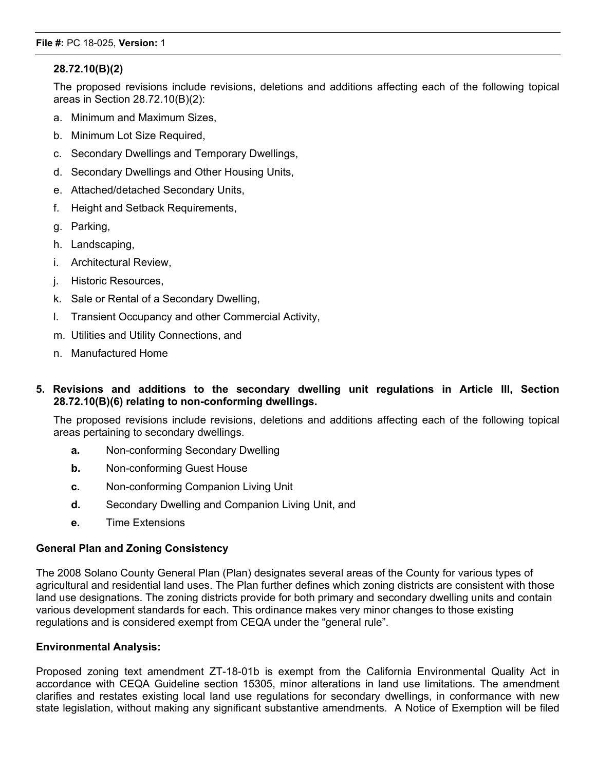## 28.72.10(B)(2)

The proposed revisions include revisions, deletions and additions affecting each of the following topical areas in Section 28.72.10(B)(2):

- a. Minimum and Maximum Sizes,
- b. Minimum Lot Size Required,
- c. Secondary Dwellings and Temporary Dwellings,
- d. Secondary Dwellings and Other Housing Units,
- e. Attached/detached Secondary Units,
- f. Height and Setback Requirements,
- g. Parking,
- h. Landscaping,
- i. Architectural Review,
- j. Historic Resources,
- k. Sale or Rental of a Secondary Dwelling,
- l. Transient Occupancy and other Commercial Activity,
- m. Utilities and Utility Connections, and
- n. Manufactured Home

## 5. Revisions and additions to the secondary dwelling unit regulations in Article III, Section 28.72.10(B)(6) relating to non-conforming dwellings.

The proposed revisions include revisions, deletions and additions affecting each of the following topical areas pertaining to secondary dwellings.

- a. Non-conforming Secondary Dwelling
- **b.** Non-conforming Guest House
- c. Non-conforming Companion Living Unit
- d. Secondary Dwelling and Companion Living Unit, and
- e. Time Extensions

## General Plan and Zoning Consistency

The 2008 Solano County General Plan (Plan) designates several areas of the County for various types of agricultural and residential land uses. The Plan further defines which zoning districts are consistent with those land use designations. The zoning districts provide for both primary and secondary dwelling units and contain various development standards for each. This ordinance makes very minor changes to those existing regulations and is considered exempt from CEQA under the "general rule".

## Environmental Analysis:

Proposed zoning text amendment ZT-18-01b is exempt from the California Environmental Quality Act in accordance with CEQA Guideline section 15305, minor alterations in land use limitations. The amendment clarifies and restates existing local land use regulations for secondary dwellings, in conformance with new state legislation, without making any significant substantive amendments. A Notice of Exemption will be filed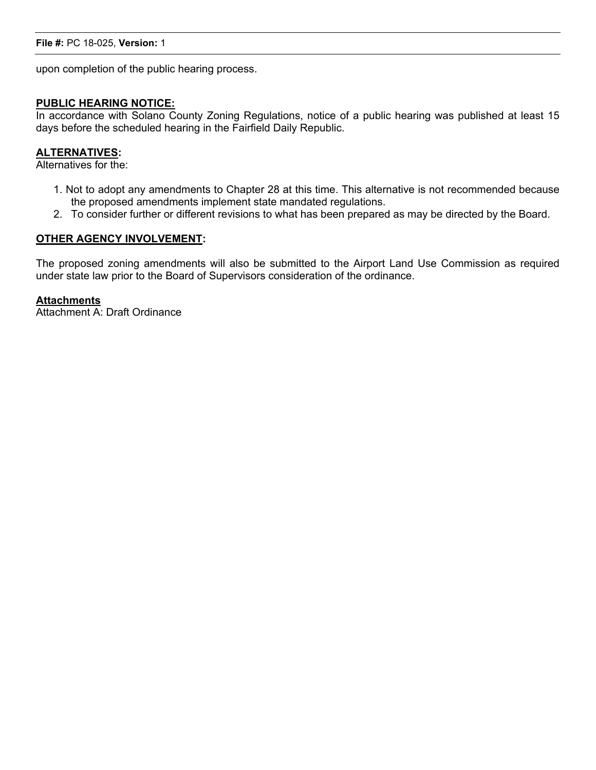#### File #: PC 18-025, Version: 1

upon completion of the public hearing process.

#### PUBLIC HEARING NOTICE:

In accordance with Solano County Zoning Regulations, notice of a public hearing was published at least 15 days before the scheduled hearing in the Fairfield Daily Republic.

#### ALTERNATIVES:

Alternatives for the:

- 1. Not to adopt any amendments to Chapter 28 at this time. This alternative is not recommended because the proposed amendments implement state mandated regulations.
- 2. To consider further or different revisions to what has been prepared as may be directed by the Board.

#### OTHER AGENCY INVOLVEMENT:

The proposed zoning amendments will also be submitted to the Airport Land Use Commission as required under state law prior to the Board of Supervisors consideration of the ordinance.

#### **Attachments**

Attachment A: Draft Ordinance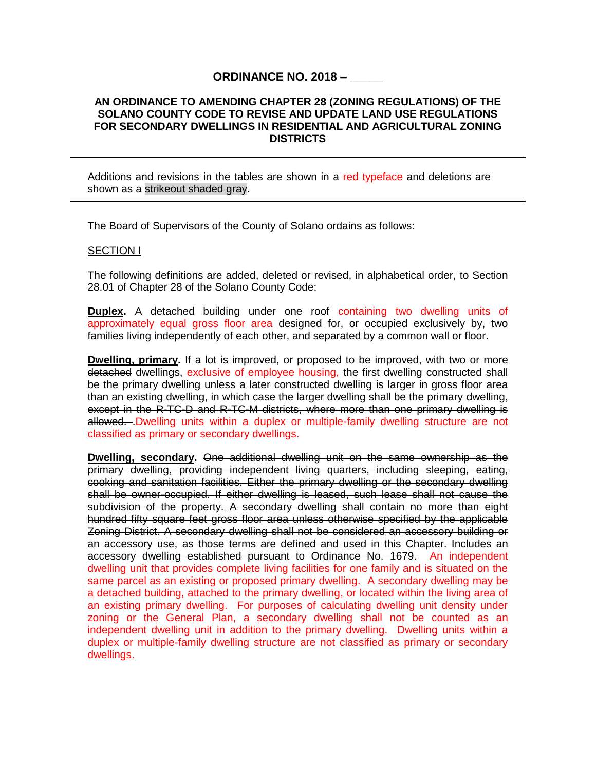## **ORDINANCE NO. 2018 – \_\_\_\_\_**

#### <span id="page-46-0"></span>**AN ORDINANCE TO AMENDING CHAPTER 28 (ZONING REGULATIONS) OF THE SOLANO COUNTY CODE TO REVISE AND UPDATE LAND USE REGULATIONS FOR SECONDARY DWELLINGS IN RESIDENTIAL AND AGRICULTURAL ZONING DISTRICTS**

Additions and revisions in the tables are shown in a red typeface and deletions are shown as a strikeout shaded gray.

The Board of Supervisors of the County of Solano ordains as follows:

#### **SECTION I**

The following definitions are added, deleted or revised, in alphabetical order, to Section 28.01 of Chapter 28 of the Solano County Code:

**Duplex.** A detached building under one roof containing two dwelling units of approximately equal gross floor area designed for, or occupied exclusively by, two families living independently of each other, and separated by a common wall or floor.

**Dwelling, primary.** If a lot is improved, or proposed to be improved, with two or more detached dwellings, exclusive of employee housing, the first dwelling constructed shall be the primary dwelling unless a later constructed dwelling is larger in gross floor area than an existing dwelling, in which case the larger dwelling shall be the primary dwelling, except in the R-TC-D and R-TC-M districts, where more than one primary dwelling is allowed...Dwelling units within a duplex or multiple-family dwelling structure are not classified as primary or secondary dwellings.

**Dwelling, secondary.** One additional dwelling unit on the same ownership as the primary dwelling, providing independent living quarters, including sleeping, eating, cooking and sanitation facilities. Either the primary dwelling or the secondary dwelling shall be owner-occupied. If either dwelling is leased, such lease shall not cause the subdivision of the property. A secondary dwelling shall contain no more than eight hundred fifty square feet gross floor area unless otherwise specified by the applicable Zoning District. A secondary dwelling shall not be considered an accessory building or an accessory use, as those terms are defined and used in this Chapter. Includes an accessory dwelling established pursuant to Ordinance No. 1679. An independent dwelling unit that provides complete living facilities for one family and is situated on the same parcel as an existing or proposed primary dwelling. A secondary dwelling may be a detached building, attached to the primary dwelling, or located within the living area of an existing primary dwelling. For purposes of calculating dwelling unit density under zoning or the General Plan, a secondary dwelling shall not be counted as an independent dwelling unit in addition to the primary dwelling. Dwelling units within a duplex or multiple-family dwelling structure are not classified as primary or secondary dwellings.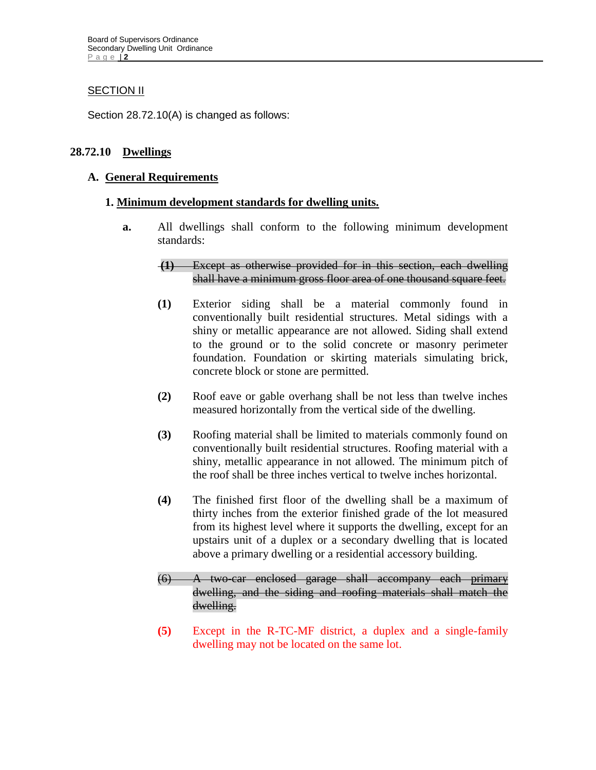## **SECTION II**

Section 28.72.10(A) is changed as follows:

## **28.72.10 Dwellings**

## **A. General Requirements**

## **1. Minimum development standards for dwelling units.**

**a.** All dwellings shall conform to the following minimum development standards:

## **(1)** Except as otherwise provided for in this section, each dwelling shall have a minimum gross floor area of one thousand square feet.

- **(1)** Exterior siding shall be a material commonly found in conventionally built residential structures. Metal sidings with a shiny or metallic appearance are not allowed. Siding shall extend to the ground or to the solid concrete or masonry perimeter foundation. Foundation or skirting materials simulating brick, concrete block or stone are permitted.
- **(2)** Roof eave or gable overhang shall be not less than twelve inches measured horizontally from the vertical side of the dwelling.
- **(3)** Roofing material shall be limited to materials commonly found on conventionally built residential structures. Roofing material with a shiny, metallic appearance in not allowed. The minimum pitch of the roof shall be three inches vertical to twelve inches horizontal.
- **(4)** The finished first floor of the dwelling shall be a maximum of thirty inches from the exterior finished grade of the lot measured from its highest level where it supports the dwelling, except for an upstairs unit of a duplex or a secondary dwelling that is located above a primary dwelling or a residential accessory building.
- (6) A two-car enclosed garage shall accompany each primary dwelling, and the siding and roofing materials shall match the dwelling.
- **(5)** Except in the R-TC-MF district, a duplex and a single-family dwelling may not be located on the same lot.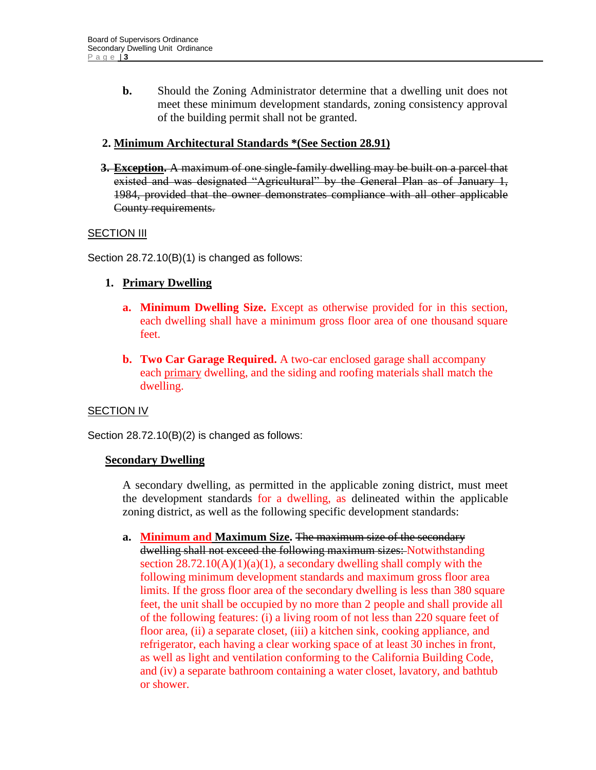**b.** Should the Zoning Administrator determine that a dwelling unit does not meet these minimum development standards, zoning consistency approval of the building permit shall not be granted.

## **2. Minimum Architectural Standards \*(See Section 28.91)**

**3. Exception.** A maximum of one single-family dwelling may be built on a parcel that existed and was designated "Agricultural" by the General Plan as of January 1, 1984, provided that the owner demonstrates compliance with all other applicable County requirements.

## **SECTION III**

Section 28.72.10(B)(1) is changed as follows:

## **1. Primary Dwelling**

- **a. Minimum Dwelling Size.** Except as otherwise provided for in this section, each dwelling shall have a minimum gross floor area of one thousand square feet.
- **b. Two Car Garage Required.** A two-car enclosed garage shall accompany each primary dwelling, and the siding and roofing materials shall match the dwelling.

## **SECTION IV**

Section 28.72.10(B)(2) is changed as follows:

## **Secondary Dwelling**

A secondary dwelling*,* as permitted in the applicable zoning district, must meet the development standards for a dwelling, as delineated within the applicable zoning district, as well as the following specific development standards:

**a. Minimum and Maximum Size.** The maximum size of the secondary dwelling shall not exceed the following maximum sizes: Notwithstanding section  $28.72.10(A)(1)(a)(1)$ , a secondary dwelling shall comply with the following minimum development standards and maximum gross floor area limits. If the gross floor area of the secondary dwelling is less than 380 square feet, the unit shall be occupied by no more than 2 people and shall provide all of the following features: (i) a living room of not less than 220 square feet of floor area, (ii) a separate closet, (iii) a kitchen sink, cooking appliance, and refrigerator, each having a clear working space of at least 30 inches in front, as well as light and ventilation conforming to the California Building Code, and (iv) a separate bathroom containing a water closet, lavatory, and bathtub or shower.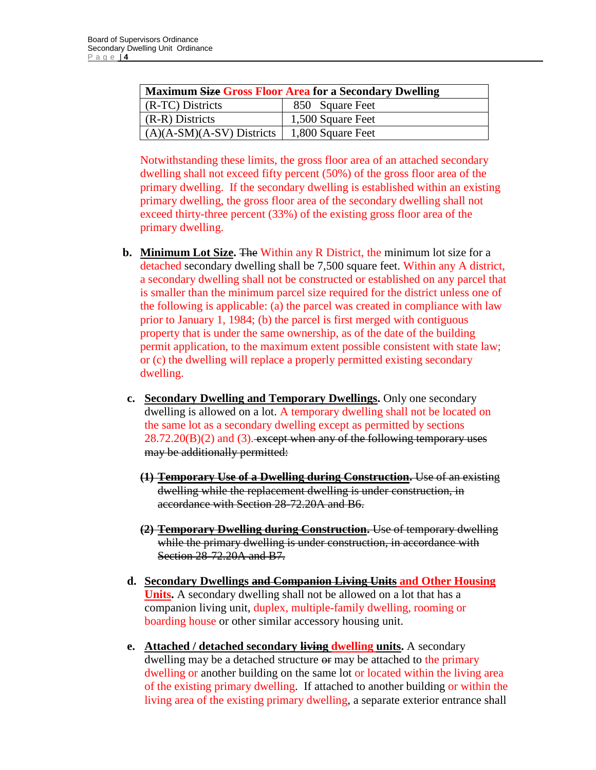| <b>Maximum Size Gross Floor Area for a Secondary Dwelling</b> |                   |  |  |
|---------------------------------------------------------------|-------------------|--|--|
| (R-TC) Districts                                              | 850 Square Feet   |  |  |
| (R-R) Districts                                               | 1,500 Square Feet |  |  |
| $(A)(A-SM)(A-SV)$ Districts                                   | 1,800 Square Feet |  |  |

Notwithstanding these limits, the gross floor area of an attached secondary dwelling shall not exceed fifty percent (50%) of the gross floor area of the primary dwelling. If the secondary dwelling is established within an existing primary dwelling, the gross floor area of the secondary dwelling shall not exceed thirty-three percent (33%) of the existing gross floor area of the primary dwelling.

- **b. Minimum Lot Size.** The Within any R District, the minimum lot size for a detached secondary dwelling shall be 7,500 square feet. Within any A district, a secondary dwelling shall not be constructed or established on any parcel that is smaller than the minimum parcel size required for the district unless one of the following is applicable: (a) the parcel was created in compliance with law prior to January 1, 1984; (b) the parcel is first merged with contiguous property that is under the same ownership, as of the date of the building permit application, to the maximum extent possible consistent with state law; or (c) the dwelling will replace a properly permitted existing secondary dwelling.
- **c. Secondary Dwelling and Temporary Dwellings.** Only one secondary dwelling is allowed on a lot. A temporary dwelling shall not be located on the same lot as a secondary dwelling except as permitted by sections  $28.72.20(B)(2)$  and (3). except when any of the following temporary uses may be additionally permitted:
	- **(1) Temporary Use of a Dwelling during Construction.** Use of an existing dwelling while the replacement dwelling is under construction, in accordance with Section 28-72.20A and B6.
	- **(2) Temporary Dwelling during Construction.** Use of temporary dwelling while the primary dwelling is under construction, in accordance with Section 28-72.20A and B7.
- **d. Secondary Dwellings and Companion Living Units and Other Housing Units.** A secondary dwelling shall not be allowed on a lot that has a companion living unit, duplex, multiple-family dwelling, rooming or boarding house or other similar accessory housing unit.
- **e. Attached / detached secondary living dwelling units.** A secondary dwelling may be a detached structure or may be attached to the primary dwelling or another building on the same lot or located within the living area of the existing primary dwelling. If attached to another building or within the living area of the existing primary dwelling, a separate exterior entrance shall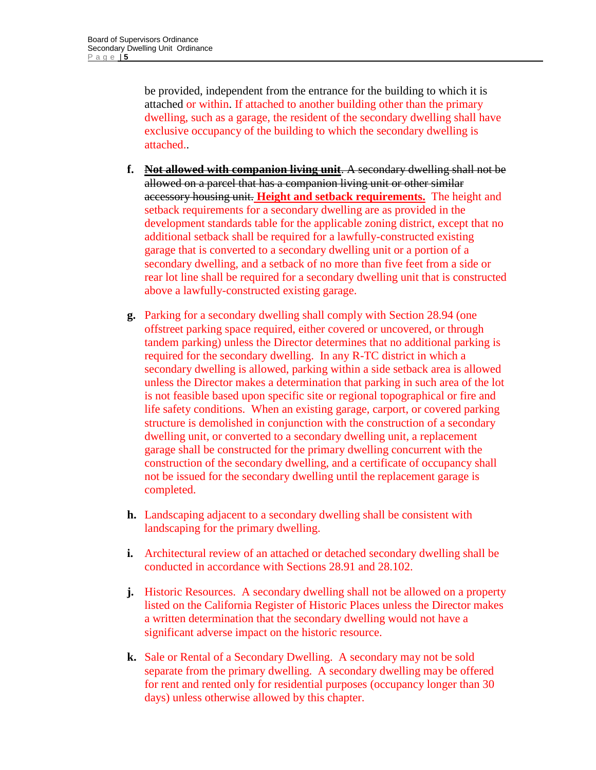be provided, independent from the entrance for the building to which it is attached or within. If attached to another building other than the primary dwelling, such as a garage, the resident of the secondary dwelling shall have exclusive occupancy of the building to which the secondary dwelling is attached..

- **f. Not allowed with companion living unit**. A secondary dwelling shall not be allowed on a parcel that has a companion living unit or other similar accessory housing unit. **Height and setback requirements.** The height and setback requirements for a secondary dwelling are as provided in the development standards table for the applicable zoning district, except that no additional setback shall be required for a lawfully-constructed existing garage that is converted to a secondary dwelling unit or a portion of a secondary dwelling, and a setback of no more than five feet from a side or rear lot line shall be required for a secondary dwelling unit that is constructed above a lawfully-constructed existing garage.
- **g.** Parking for a secondary dwelling shall comply with Section 28.94 (one offstreet parking space required, either covered or uncovered, or through tandem parking) unless the Director determines that no additional parking is required for the secondary dwelling. In any R-TC district in which a secondary dwelling is allowed, parking within a side setback area is allowed unless the Director makes a determination that parking in such area of the lot is not feasible based upon specific site or regional topographical or fire and life safety conditions. When an existing garage, carport, or covered parking structure is demolished in conjunction with the construction of a secondary dwelling unit, or converted to a secondary dwelling unit, a replacement garage shall be constructed for the primary dwelling concurrent with the construction of the secondary dwelling, and a certificate of occupancy shall not be issued for the secondary dwelling until the replacement garage is completed.
- **h.** Landscaping adjacent to a secondary dwelling shall be consistent with landscaping for the primary dwelling.
- **i.** Architectural review of an attached or detached secondary dwelling shall be conducted in accordance with Sections 28.91 and 28.102.
- **j.** Historic Resources. A secondary dwelling shall not be allowed on a property listed on the California Register of Historic Places unless the Director makes a written determination that the secondary dwelling would not have a significant adverse impact on the historic resource.
- **k.** Sale or Rental of a Secondary Dwelling. A secondary may not be sold separate from the primary dwelling. A secondary dwelling may be offered for rent and rented only for residential purposes (occupancy longer than 30 days) unless otherwise allowed by this chapter.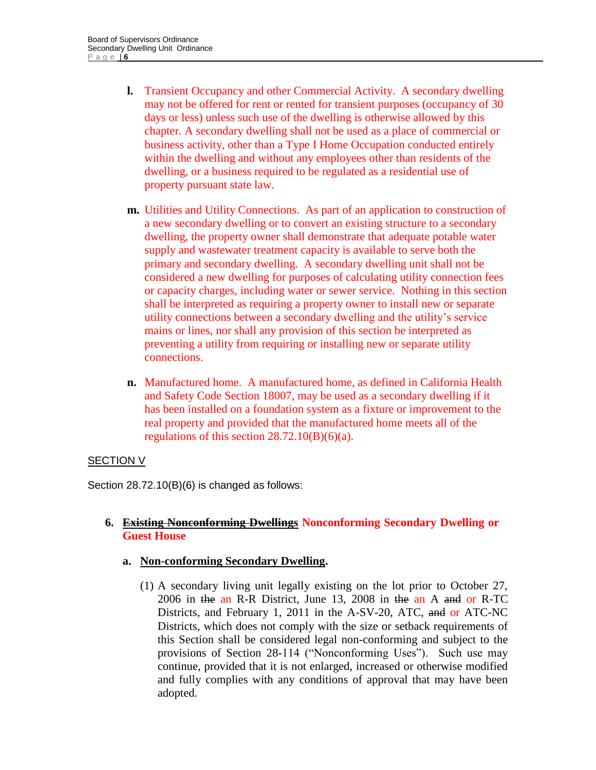- **l.** Transient Occupancy and other Commercial Activity. A secondary dwelling may not be offered for rent or rented for transient purposes (occupancy of 30 days or less) unless such use of the dwelling is otherwise allowed by this chapter. A secondary dwelling shall not be used as a place of commercial or business activity, other than a Type I Home Occupation conducted entirely within the dwelling and without any employees other than residents of the dwelling, or a business required to be regulated as a residential use of property pursuant state law.
- **m.** Utilities and Utility Connections. As part of an application to construction of a new secondary dwelling or to convert an existing structure to a secondary dwelling, the property owner shall demonstrate that adequate potable water supply and wastewater treatment capacity is available to serve both the primary and secondary dwelling. A secondary dwelling unit shall not be considered a new dwelling for purposes of calculating utility connection fees or capacity charges, including water or sewer service. Nothing in this section shall be interpreted as requiring a property owner to install new or separate utility connections between a secondary dwelling and the utility's service mains or lines, nor shall any provision of this section be interpreted as preventing a utility from requiring or installing new or separate utility connections.
- **n.** Manufactured home. A manufactured home, as defined in California Health and Safety Code Section 18007, may be used as a secondary dwelling if it has been installed on a foundation system as a fixture or improvement to the real property and provided that the manufactured home meets all of the regulations of this section  $28.72.10(B)(6)(a)$ .

## SECTION V

Section 28.72.10(B)(6) is changed as follows:

## **6. Existing Nonconforming Dwellings Nonconforming Secondary Dwelling or Guest House**

## **a. Non-conforming Secondary Dwelling.**

(1) A secondary living unit legally existing on the lot prior to October 27, 2006 in the an R-R District, June 13, 2008 in the an A and or R-TC Districts, and February 1, 2011 in the A-SV-20, ATC, and or ATC-NC Districts, which does not comply with the size or setback requirements of this Section shall be considered legal non-conforming and subject to the provisions of Section 28-114 ("Nonconforming Uses"). Such use may continue, provided that it is not enlarged, increased or otherwise modified and fully complies with any conditions of approval that may have been adopted.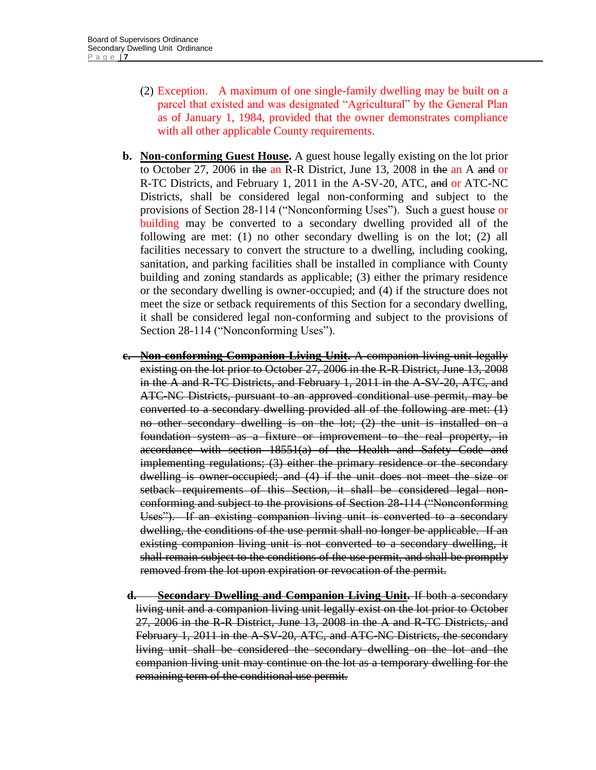- (2) Exception. A maximum of one single-family dwelling may be built on a parcel that existed and was designated "Agricultural" by the General Plan as of January 1, 1984, provided that the owner demonstrates compliance with all other applicable County requirements.
- **b. Non-conforming Guest House.** A guest house legally existing on the lot prior to October 27, 2006 in the an R-R District, June 13, 2008 in the an A and or R-TC Districts, and February 1, 2011 in the A-SV-20, ATC, and or ATC-NC Districts, shall be considered legal non-conforming and subject to the provisions of Section 28-114 ("Nonconforming Uses"). Such a guest house or building may be converted to a secondary dwelling provided all of the following are met: (1) no other secondary dwelling is on the lot; (2) all facilities necessary to convert the structure to a dwelling, including cooking, sanitation, and parking facilities shall be installed in compliance with County building and zoning standards as applicable; (3) either the primary residence or the secondary dwelling is owner-occupied; and (4) if the structure does not meet the size or setback requirements of this Section for a secondary dwelling, it shall be considered legal non-conforming and subject to the provisions of Section 28-114 ("Nonconforming Uses").
- **c. Non-conforming Companion Living Unit.** A companion living unit legally existing on the lot prior to October 27, 2006 in the R-R District, June 13, 2008 in the A and R-TC Districts, and February 1, 2011 in the A-SV-20, ATC, and ATC-NC Districts, pursuant to an approved conditional use permit, may be converted to a secondary dwelling provided all of the following are met: (1) no other secondary dwelling is on the lot; (2) the unit is installed on a foundation system as a fixture or improvement to the real property, in accordance with section 18551(a) of the Health and Safety Code and implementing regulations; (3) either the primary residence or the secondary dwelling is owner-occupied; and (4) if the unit does not meet the size or setback requirements of this Section, it shall be considered legal nonconforming and subject to the provisions of Section 28-114 ("Nonconforming Uses"). If an existing companion living unit is converted to a secondary dwelling, the conditions of the use permit shall no longer be applicable. If an existing companion living unit is not converted to a secondary dwelling, it shall remain subject to the conditions of the use permit, and shall be promptly removed from the lot upon expiration or revocation of the permit.
- **d. Secondary Dwelling and Companion Living Unit.** If both a secondary living unit and a companion living unit legally exist on the lot prior to October 27, 2006 in the R-R District, June 13, 2008 in the A and R-TC Districts, and February 1, 2011 in the A-SV-20, ATC, and ATC-NC Districts, the secondary living unit shall be considered the secondary dwelling on the lot and the companion living unit may continue on the lot as a temporary dwelling for the remaining term of the conditional use permit.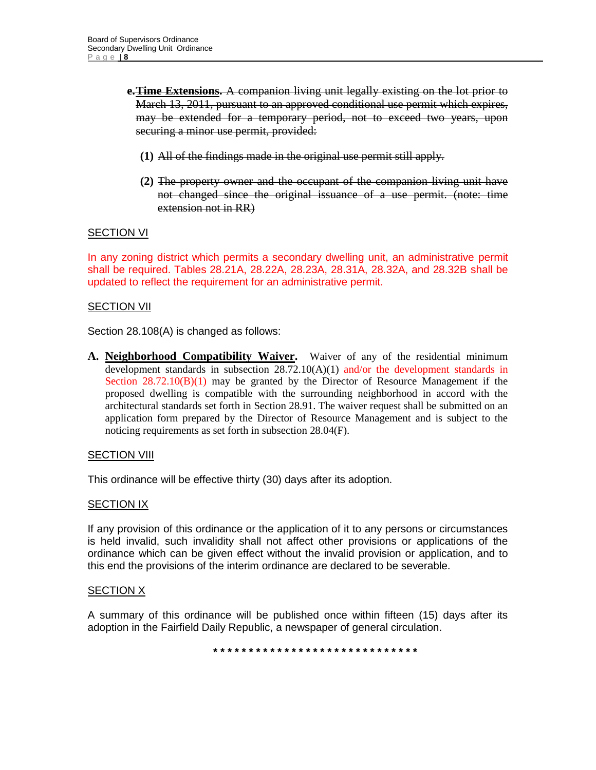- **e.Time Extensions.** A companion living unit legally existing on the lot prior to March 13, 2011, pursuant to an approved conditional use permit which expires, may be extended for a temporary period, not to exceed two years, upon securing a minor use permit, provided:
	- **(1)** All of the findings made in the original use permit still apply.
	- **(2)** The property owner and the occupant of the companion living unit have not changed since the original issuance of a use permit. (note: time extension not in RR)

#### **SECTION VI**

In any zoning district which permits a secondary dwelling unit, an administrative permit shall be required. Tables 28.21A, 28.22A, 28.23A, 28.31A, 28.32A, and 28.32B shall be updated to reflect the requirement for an administrative permit.

#### SECTION VII

Section 28.108(A) is changed as follows:

**A. Neighborhood Compatibility Waiver.** Waiver of any of the residential minimum development standards in subsection 28.72.10(A)(1) and/or the development standards in Section  $28.72.10(B)(1)$  may be granted by the Director of Resource Management if the proposed dwelling is compatible with the surrounding neighborhood in accord with the architectural standards set forth in Section 28.91. The waiver request shall be submitted on an application form prepared by the Director of Resource Management and is subject to the noticing requirements as set forth in subsection 28.04(F).

#### **SECTION VIII**

This ordinance will be effective thirty (30) days after its adoption.

#### SECTION IX

If any provision of this ordinance or the application of it to any persons or circumstances is held invalid, such invalidity shall not affect other provisions or applications of the ordinance which can be given effect without the invalid provision or application, and to this end the provisions of the interim ordinance are declared to be severable.

#### SECTION X

A summary of this ordinance will be published once within fifteen (15) days after its adoption in the Fairfield Daily Republic, a newspaper of general circulation.

**\* \* \* \* \* \* \* \* \* \* \* \* \* \* \* \* \* \* \* \* \* \* \* \* \* \* \* \* \***